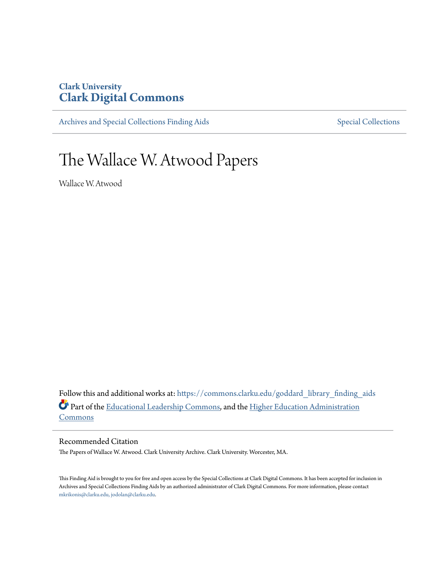# **Clark University [Clark Digital Commons](https://commons.clarku.edu?utm_source=commons.clarku.edu%2Fgoddard_library_finding_aids%2F1&utm_medium=PDF&utm_campaign=PDFCoverPages)**

[Archives and Special Collections Finding Aids](https://commons.clarku.edu/goddard_library_finding_aids?utm_source=commons.clarku.edu%2Fgoddard_library_finding_aids%2F1&utm_medium=PDF&utm_campaign=PDFCoverPages) [Special Collections](https://commons.clarku.edu/special?utm_source=commons.clarku.edu%2Fgoddard_library_finding_aids%2F1&utm_medium=PDF&utm_campaign=PDFCoverPages) Special Collections

# The Wallace W. Atwood Papers

Wallace W. Atwood

Follow this and additional works at: [https://commons.clarku.edu/goddard\\_library\\_finding\\_aids](https://commons.clarku.edu/goddard_library_finding_aids?utm_source=commons.clarku.edu%2Fgoddard_library_finding_aids%2F1&utm_medium=PDF&utm_campaign=PDFCoverPages) Part of the [Educational Leadership Commons](http://network.bepress.com/hgg/discipline/1230?utm_source=commons.clarku.edu%2Fgoddard_library_finding_aids%2F1&utm_medium=PDF&utm_campaign=PDFCoverPages), and the [Higher Education Administration](http://network.bepress.com/hgg/discipline/791?utm_source=commons.clarku.edu%2Fgoddard_library_finding_aids%2F1&utm_medium=PDF&utm_campaign=PDFCoverPages) **[Commons](http://network.bepress.com/hgg/discipline/791?utm_source=commons.clarku.edu%2Fgoddard_library_finding_aids%2F1&utm_medium=PDF&utm_campaign=PDFCoverPages)** 

Recommended Citation

The Papers of Wallace W. Atwood. Clark University Archive. Clark University. Worcester, MA.

This Finding Aid is brought to you for free and open access by the Special Collections at Clark Digital Commons. It has been accepted for inclusion in Archives and Special Collections Finding Aids by an authorized administrator of Clark Digital Commons. For more information, please contact [mkrikonis@clarku.edu, jodolan@clarku.edu.](mailto:mkrikonis@clarku.edu,%20jodolan@clarku.edu)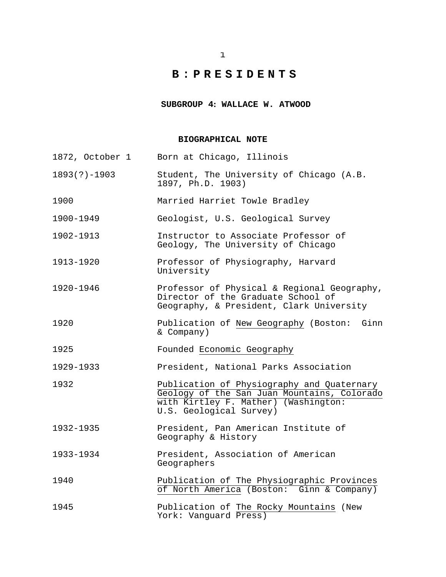**SUBGROUP 4: WALLACE W. ATWOOD**

#### **BIOGRAPHICAL NOTE**

| 1872, October 1  | Born at Chicago, Illinois                                                                                                                                    |
|------------------|--------------------------------------------------------------------------------------------------------------------------------------------------------------|
| $1893(?) - 1903$ | Student, The University of Chicago (A.B.<br>1897, Ph.D. 1903)                                                                                                |
| 1900             | Married Harriet Towle Bradley                                                                                                                                |
| 1900-1949        | Geologist, U.S. Geological Survey                                                                                                                            |
| 1902-1913        | Instructor to Associate Professor of<br>Geology, The University of Chicago                                                                                   |
| 1913-1920        | Professor of Physiography, Harvard<br>University                                                                                                             |
| 1920-1946        | Professor of Physical & Regional Geography,<br>Director of the Graduate School of<br>Geography, & President, Clark University                                |
| 1920             | Publication of New Geography (Boston: Ginn<br>& Company)                                                                                                     |
| 1925             | Founded Economic Geography                                                                                                                                   |
| 1929-1933        | President, National Parks Association                                                                                                                        |
| 1932             | Publication of Physiography and Quaternary<br>Geology of the San Juan Mountains, Colorado<br>with Kirtley F. Mather) (Washington:<br>U.S. Geological Survey) |
| 1932-1935        | President, Pan American Institute of<br>Geography & History                                                                                                  |
| 1933-1934        | President, Association of American<br>Geographers                                                                                                            |
| 1940             | Publication of The Physiographic Provinces<br>of North America (Boston: Ginn & Company)                                                                      |
|                  |                                                                                                                                                              |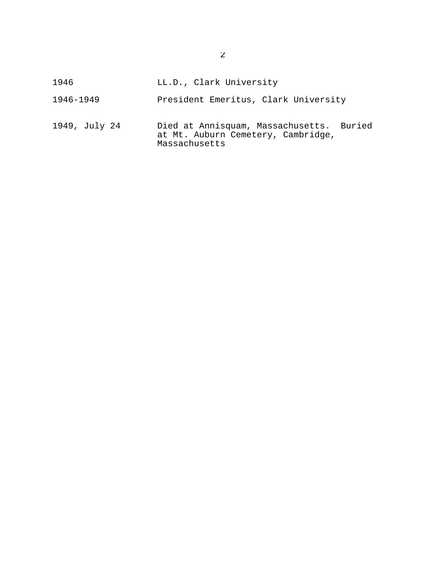| 1946          | LL.D., Clark University                                                                         |
|---------------|-------------------------------------------------------------------------------------------------|
| 1946-1949     | President Emeritus, Clark University                                                            |
| 1949, July 24 | Died at Annisquam, Massachusetts. Buried<br>at Mt. Auburn Cemetery, Cambridge,<br>Massachusetts |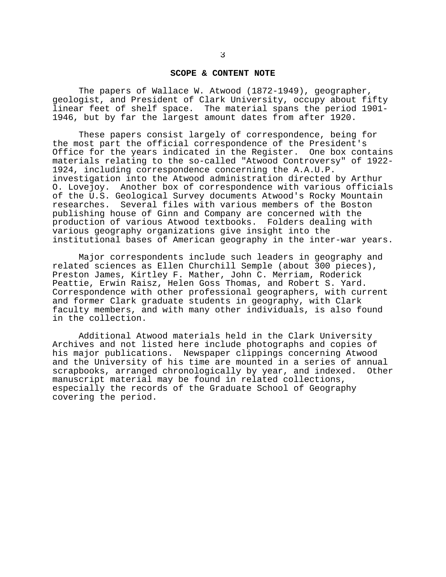#### **SCOPE & CONTENT NOTE**

The papers of Wallace W. Atwood (1872-1949), geographer, geologist, and President of Clark University, occupy about fifty linear feet of shelf space. The material spans the period 1901- 1946, but by far the largest amount dates from after 1920.

These papers consist largely of correspondence, being for the most part the official correspondence of the President's Office for the years indicated in the Register. One box contains materials relating to the so-called "Atwood Controversy" of 1922- 1924, including correspondence concerning the A.A.U.P. investigation into the Atwood administration directed by Arthur O. Lovejoy. Another box of correspondence with various officials of the U.S. Geological Survey documents Atwood's Rocky Mountain researches. Several files with various members of the Boston publishing house of Ginn and Company are concerned with the production of various Atwood textbooks. Folders dealing with various geography organizations give insight into the institutional bases of American geography in the inter-war years.

Major correspondents include such leaders in geography and related sciences as Ellen Churchill Semple (about 300 pieces), Preston James, Kirtley F. Mather, John C. Merriam, Roderick Peattie, Erwin Raisz, Helen Goss Thomas, and Robert S. Yard. Correspondence with other professional geographers, with current and former Clark graduate students in geography, with Clark faculty members, and with many other individuals, is also found in the collection.

Additional Atwood materials held in the Clark University Archives and not listed here include photographs and copies of his major publications. Newspaper clippings concerning Atwood and the University of his time are mounted in a series of annual scrapbooks, arranged chronologically by year, and indexed. manuscript material may be found in related collections, especially the records of the Graduate School of Geography covering the period.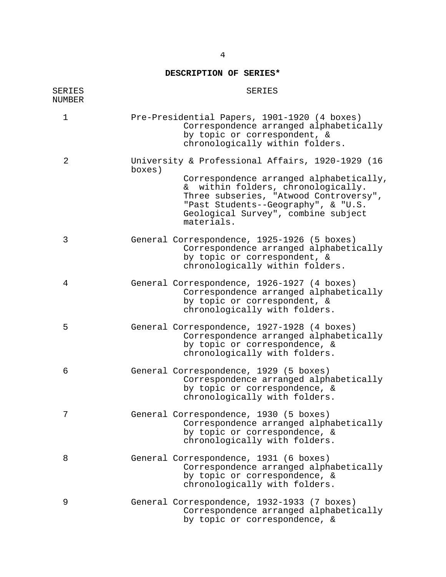# **DESCRIPTION OF SERIES\***

| <b>SERIES</b><br><b>NUMBER</b> | <b>SERIES</b>                                                                                                                                                                                                                                                                     |
|--------------------------------|-----------------------------------------------------------------------------------------------------------------------------------------------------------------------------------------------------------------------------------------------------------------------------------|
| $\mathbf 1$                    | Pre-Presidential Papers, 1901-1920 (4 boxes)<br>Correspondence arranged alphabetically<br>by topic or correspondent, &<br>chronologically within folders.                                                                                                                         |
| $\overline{2}$                 | University & Professional Affairs, 1920-1929 (16<br>boxes)<br>Correspondence arranged alphabetically,<br>& within folders, chronologically.<br>Three subseries, "Atwood Controversy",<br>"Past Students--Geography", & "U.S.<br>Geological Survey", combine subject<br>materials. |
| 3                              | General Correspondence, 1925-1926 (5 boxes)<br>Correspondence arranged alphabetically<br>by topic or correspondent, &<br>chronologically within folders.                                                                                                                          |
| 4                              | General Correspondence, 1926-1927 (4 boxes)<br>Correspondence arranged alphabetically<br>by topic or correspondent, &<br>chronologically with folders.                                                                                                                            |
| 5                              | General Correspondence, 1927-1928 (4 boxes)<br>Correspondence arranged alphabetically<br>by topic or correspondence, &<br>chronologically with folders.                                                                                                                           |
| 6                              | General Correspondence, 1929 (5 boxes)<br>Correspondence arranged alphabetically<br>by topic or correspondence, &<br>chronologically with folders.                                                                                                                                |
|                                | General Correspondence, 1930 (5 boxes)<br>Correspondence arranged alphabetically<br>by topic or correspondence, &<br>chronologically with folders.                                                                                                                                |
| 8                              | General Correspondence, 1931 (6 boxes)<br>Correspondence arranged alphabetically<br>by topic or correspondence, &<br>chronologically with folders.                                                                                                                                |
| 9                              | General Correspondence, 1932-1933 (7 boxes)<br>Correspondence arranged alphabetically<br>by topic or correspondence, &                                                                                                                                                            |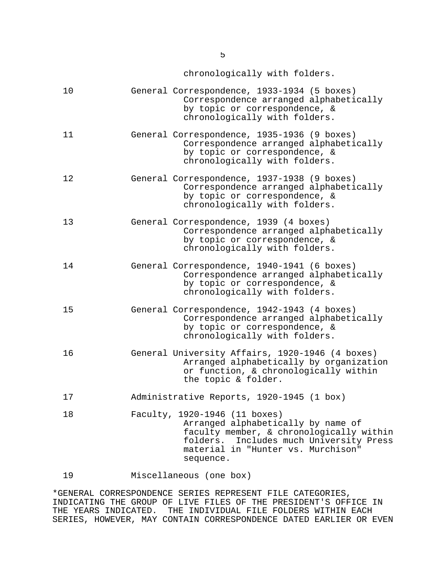chronologically with folders.

| 10 | General Correspondence, 1933-1934 (5 boxes)<br>Correspondence arranged alphabetically<br>by topic or correspondence, &<br>chronologically with folders.                                                          |
|----|------------------------------------------------------------------------------------------------------------------------------------------------------------------------------------------------------------------|
| 11 | General Correspondence, 1935-1936 (9 boxes)<br>Correspondence arranged alphabetically<br>by topic or correspondence, &<br>chronologically with folders.                                                          |
| 12 | General Correspondence, 1937-1938 (9 boxes)<br>Correspondence arranged alphabetically<br>by topic or correspondence, &<br>chronologically with folders.                                                          |
| 13 | General Correspondence, 1939 (4 boxes)<br>Correspondence arranged alphabetically<br>by topic or correspondence, &<br>chronologically with folders.                                                               |
| 14 | General Correspondence, 1940-1941 (6 boxes)<br>Correspondence arranged alphabetically<br>by topic or correspondence, &<br>chronologically with folders.                                                          |
| 15 | General Correspondence, 1942-1943 (4 boxes)<br>Correspondence arranged alphabetically<br>by topic or correspondence, &<br>chronologically with folders.                                                          |
| 16 | General University Affairs, 1920-1946 (4 boxes)<br>Arranged alphabetically by organization<br>or function, & chronologically within<br>the topic & folder.                                                       |
| 17 | Administrative Reports, 1920-1945 (1 box)                                                                                                                                                                        |
| 18 | Faculty, 1920-1946 (11 boxes)<br>Arranged alphabetically by name of<br>faculty member, & chronologically within<br>Includes much University Press<br>folders.<br>material in "Hunter vs. Murchison"<br>sequence. |

19 Miscellaneous (one box)

\*GENERAL CORRESPONDENCE SERIES REPRESENT FILE CATEGORIES, INDICATING THE GROUP OF LIVE FILES OF THE PRESIDENT'S OFFICE IN THE YEARS INDICATED. THE INDIVIDUAL FILE FOLDERS WITHIN EACH SERIES, HOWEVER, MAY CONTAIN CORRESPONDENCE DATED EARLIER OR EVEN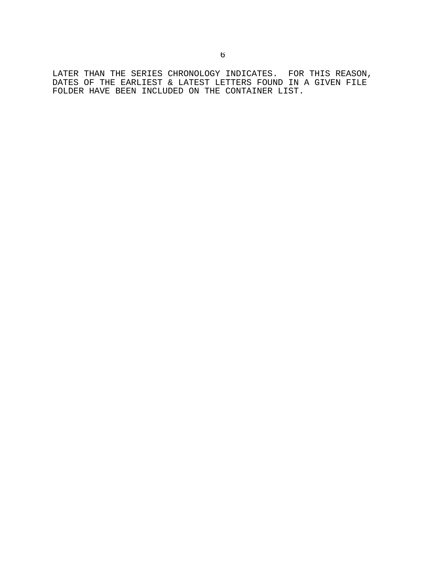LATER THAN THE SERIES CHRONOLOGY INDICATES. FOR THIS REASON, DATES OF THE EARLIEST & LATEST LETTERS FOUND IN A GIVEN FILE FOLDER HAVE BEEN INCLUDED ON THE CONTAINER LIST.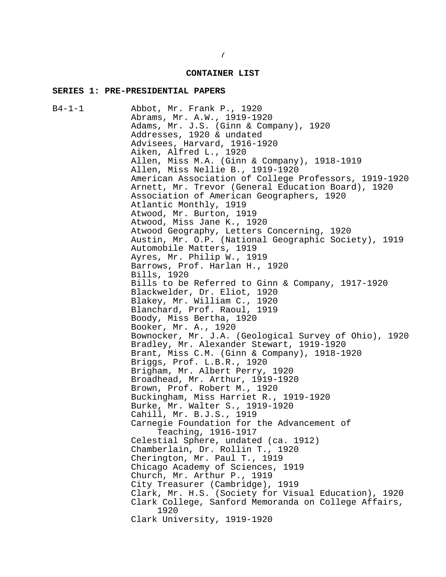#### **CONTAINER LIST**

#### **SERIES 1: PRE-PRESIDENTIAL PAPERS**

B4-1-1 Abbot, Mr. Frank P., 1920 Abrams, Mr. A.W., 1919-1920 Adams, Mr. J.S. (Ginn & Company), 1920 Addresses, 1920 & undated Advisees, Harvard, 1916-1920 Aiken, Alfred L., 1920 Allen, Miss M.A. (Ginn & Company), 1918-1919 Allen, Miss Nellie B., 1919-1920 American Association of College Professors, 1919-1920 Arnett, Mr. Trevor (General Education Board), 1920 Association of American Geographers, 1920 Atlantic Monthly, 1919 Atwood, Mr. Burton, 1919 Atwood, Miss Jane K., 1920 Atwood Geography, Letters Concerning, 1920 Austin, Mr. O.P. (National Geographic Society), 1919 Automobile Matters, 1919 Ayres, Mr. Philip W., 1919 Barrows, Prof. Harlan H., 1920 Bills, 1920 Bills to be Referred to Ginn & Company, 1917-1920 Blackwelder, Dr. Eliot, 1920 Blakey, Mr. William C., 1920 Blanchard, Prof. Raoul, 1919 Boody, Miss Bertha, 1920 Booker, Mr. A., 1920 Bownocker, Mr. J.A. (Geological Survey of Ohio), 1920 Bradley, Mr. Alexander Stewart, 1919-1920 Brant, Miss C.M. (Ginn & Company), 1918-1920 Briggs, Prof. L.B.R., 1920 Brigham, Mr. Albert Perry, 1920 Broadhead, Mr. Arthur, 1919-1920 Brown, Prof. Robert M., 1920 Buckingham, Miss Harriet R., 1919-1920 Burke, Mr. Walter S., 1919-1920 Cahill, Mr. B.J.S., 1919 Carnegie Foundation for the Advancement of Teaching, 1916-1917 Celestial Sphere, undated (ca. 1912) Chamberlain, Dr. Rollin T., 1920 Cherington, Mr. Paul T., 1919 Chicago Academy of Sciences, 1919 Church, Mr. Arthur P., 1919 City Treasurer (Cambridge), 1919 Clark, Mr. H.S. (Society for Visual Education), 1920 Clark College, Sanford Memoranda on College Affairs, 1920 Clark University, 1919-1920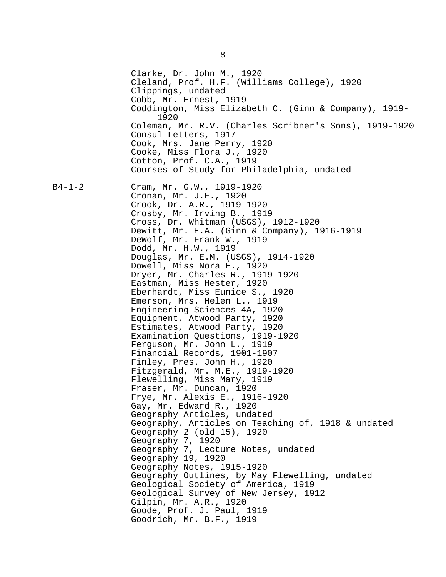Clarke, Dr. John M., 1920 Cleland, Prof. H.F. (Williams College), 1920 Clippings, undated Cobb, Mr. Ernest, 1919 Coddington, Miss Elizabeth C. (Ginn & Company), 1919- 1920 Coleman, Mr. R.V. (Charles Scribner's Sons), 1919-1920 Consul Letters, 1917 Cook, Mrs. Jane Perry, 1920 Cooke, Miss Flora J., 1920 Cotton, Prof. C.A., 1919 Courses of Study for Philadelphia, undated B4-1-2 Cram, Mr. G.W., 1919-1920 Cronan, Mr. J.F., 1920 Crook, Dr. A.R., 1919-1920 Crosby, Mr. Irving B., 1919 Cross, Dr. Whitman (USGS), 1912-1920 Dewitt, Mr. E.A. (Ginn & Company), 1916-1919 DeWolf, Mr. Frank W., 1919 Dodd, Mr. H.W., 1919 Douglas, Mr. E.M. (USGS), 1914-1920 Dowell, Miss Nora E., 1920 Dryer, Mr. Charles R., 1919-1920 Eastman, Miss Hester, 1920 Eberhardt, Miss Eunice S., 1920 Emerson, Mrs. Helen L., 1919 Engineering Sciences 4A, 1920 Equipment, Atwood Party, 1920 Estimates, Atwood Party, 1920 Examination Questions, 1919-1920 Ferguson, Mr. John L., 1919 Financial Records, 1901-1907 Finley, Pres. John H., 1920 Fitzgerald, Mr. M.E., 1919-1920 Flewelling, Miss Mary, 1919 Fraser, Mr. Duncan, 1920 Frye, Mr. Alexis E., 1916-1920 Gay, Mr. Edward R., 1920 Geography Articles, undated Geography, Articles on Teaching of, 1918 & undated Geography 2 (old 15), 1920 Geography 7, 1920 Geography 7, Lecture Notes, undated Geography 19, 1920 Geography Notes, 1915-1920 Geography Outlines, by May Flewelling, undated Geological Society of America, 1919 Geological Survey of New Jersey, 1912 Gilpin, Mr. A.R., 1920 Goode, Prof. J. Paul, 1919 Goodrich, Mr. B.F., 1919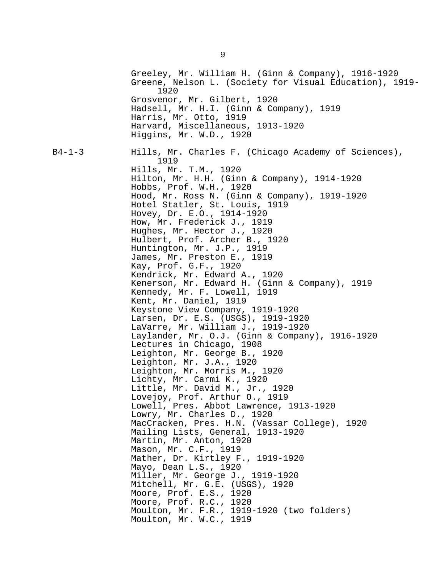Greeley, Mr. William H. (Ginn & Company), 1916-1920 Greene, Nelson L. (Society for Visual Education), 1919- 1920 Grosvenor, Mr. Gilbert, 1920 Hadsell, Mr. H.I. (Ginn & Company), 1919 Harris, Mr. Otto, 1919 Harvard, Miscellaneous, 1913-1920 Higgins, Mr. W.D., 1920 B4-1-3 Hills, Mr. Charles F. (Chicago Academy of Sciences), 1919 Hills, Mr. T.M., 1920 Hilton, Mr. H.H. (Ginn & Company), 1914-1920 Hobbs, Prof. W.H., 1920 Hood, Mr. Ross N. (Ginn & Company), 1919-1920 Hotel Statler, St. Louis, 1919 Hovey, Dr. E.O., 1914-1920 How, Mr. Frederick J., 1919 Hughes, Mr. Hector J., 1920 Hulbert, Prof. Archer B., 1920 Huntington, Mr. J.P., 1919 James, Mr. Preston E., 1919 Kay, Prof. G.F., 1920 Kendrick, Mr. Edward A., 1920 Kenerson, Mr. Edward H. (Ginn & Company), 1919 Kennedy, Mr. F. Lowell, 1919 Kent, Mr. Daniel, 1919 Keystone View Company, 1919-1920 Larsen, Dr. E.S. (USGS), 1919-1920 LaVarre, Mr. William J., 1919-1920 Laylander, Mr. O.J. (Ginn & Company), 1916-1920 Lectures in Chicago, 1908 Leighton, Mr. George B., 1920 Leighton, Mr. J.A., 1920 Leighton, Mr. Morris M., 1920 Lichty, Mr. Carmi K., 1920 Little, Mr. David M., Jr., 1920 Lovejoy, Prof. Arthur O., 1919 Lowell, Pres. Abbot Lawrence, 1913-1920 Lowry, Mr. Charles D., 1920 MacCracken, Pres. H.N. (Vassar College), 1920 Mailing Lists, General, 1913-1920 Martin, Mr. Anton, 1920 Mason, Mr. C.F., 1919 Mather, Dr. Kirtley F., 1919-1920 Mayo, Dean L.S., 1920 Miller, Mr. George J., 1919-1920 Mitchell, Mr. G.E. (USGS), 1920 Moore, Prof. E.S., 1920 Moore, Prof. R.C., 1920 Moulton, Mr. F.R., 1919-1920 (two folders) Moulton, Mr. W.C., 1919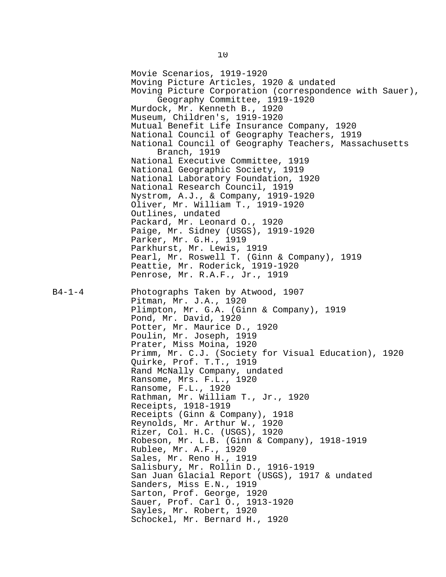Movie Scenarios, 1919-1920 Moving Picture Articles, 1920 & undated Moving Picture Corporation (correspondence with Sauer), Geography Committee, 1919-1920 Murdock, Mr. Kenneth B., 1920 Museum, Children's, 1919-1920 Mutual Benefit Life Insurance Company, 1920 National Council of Geography Teachers, 1919 National Council of Geography Teachers, Massachusetts Branch, 1919 National Executive Committee, 1919 National Geographic Society, 1919 National Laboratory Foundation, 1920 National Research Council, 1919 Nystrom, A.J., & Company, 1919-1920 Oliver, Mr. William T., 1919-1920 Outlines, undated Packard, Mr. Leonard O., 1920 Paige, Mr. Sidney (USGS), 1919-1920 Parker, Mr. G.H., 1919 Parkhurst, Mr. Lewis, 1919 Pearl, Mr. Roswell T. (Ginn & Company), 1919 Peattie, Mr. Roderick, 1919-1920 Penrose, Mr. R.A.F., Jr., 1919 B4-1-4 Photographs Taken by Atwood, 1907 Pitman, Mr. J.A., 1920 Plimpton, Mr. G.A. (Ginn & Company), 1919 Pond, Mr. David, 1920 Potter, Mr. Maurice D., 1920 Poulin, Mr. Joseph, 1919 Prater, Miss Moina, 1920 Primm, Mr. C.J. (Society for Visual Education), 1920 Quirke, Prof. T.T., 1919 Rand McNally Company, undated Ransome, Mrs. F.L., 1920 Ransome, F.L., 1920 Rathman, Mr. William T., Jr., 1920 Receipts, 1918-1919 Receipts (Ginn & Company), 1918 Reynolds, Mr. Arthur W., 1920 Rizer, Col. H.C. (USGS), 1920 Robeson, Mr. L.B. (Ginn & Company), 1918-1919 Rublee, Mr. A.F., 1920 Sales, Mr. Reno H., 1919 Salisbury, Mr. Rollin D., 1916-1919 San Juan Glacial Report (USGS), 1917 & undated Sanders, Miss E.N., 1919 Sarton, Prof. George, 1920 Sauer, Prof. Carl O., 1913-1920 Sayles, Mr. Robert, 1920 Schockel, Mr. Bernard H., 1920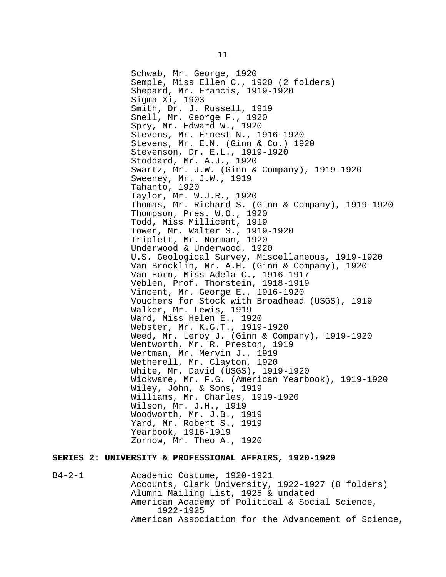Schwab, Mr. George, 1920 Semple, Miss Ellen C., 1920 (2 folders) Shepard, Mr. Francis, 1919-1920 Sigma Xi, 1903 Smith, Dr. J. Russell, 1919 Snell, Mr. George F., 1920 Spry, Mr. Edward W., 1920 Stevens, Mr. Ernest N., 1916-1920 Stevens, Mr. E.N. (Ginn & Co.) 1920 Stevenson, Dr. E.L., 1919-1920 Stoddard, Mr. A.J., 1920 Swartz, Mr. J.W. (Ginn & Company), 1919-1920 Sweeney, Mr. J.W., 1919 Tahanto, 1920 Taylor, Mr. W.J.R., 1920 Thomas, Mr. Richard S. (Ginn & Company), 1919-1920 Thompson, Pres. W.O., 1920 Todd, Miss Millicent, 1919 Tower, Mr. Walter S., 1919-1920 Triplett, Mr. Norman, 1920 Underwood & Underwood, 1920 U.S. Geological Survey, Miscellaneous, 1919-1920 Van Brocklin, Mr. A.H. (Ginn & Company), 1920 Van Horn, Miss Adela C., 1916-1917 Veblen, Prof. Thorstein, 1918-1919 Vincent, Mr. George E., 1916-1920 Vouchers for Stock with Broadhead (USGS), 1919 Walker, Mr. Lewis, 1919 Ward, Miss Helen E., 1920 Webster, Mr. K.G.T., 1919-1920 Weed, Mr. Leroy J. (Ginn & Company), 1919-1920 Wentworth, Mr. R. Preston, 1919 Wertman, Mr. Mervin J., 1919 Wetherell, Mr. Clayton, 1920 White, Mr. David (USGS), 1919-1920 Wickware, Mr. F.G. (American Yearbook), 1919-1920 Wiley, John, & Sons, 1919 Williams, Mr. Charles, 1919-1920 Wilson, Mr. J.H., 1919 Woodworth, Mr. J.B., 1919 Yard, Mr. Robert S., 1919 Yearbook, 1916-1919 Zornow, Mr. Theo A., 1920

#### **SERIES 2: UNIVERSITY & PROFESSIONAL AFFAIRS, 1920-1929**

B4-2-1 Academic Costume, 1920-1921 Accounts, Clark University, 1922-1927 (8 folders) Alumni Mailing List, 1925 & undated American Academy of Political & Social Science, 1922-1925 American Association for the Advancement of Science,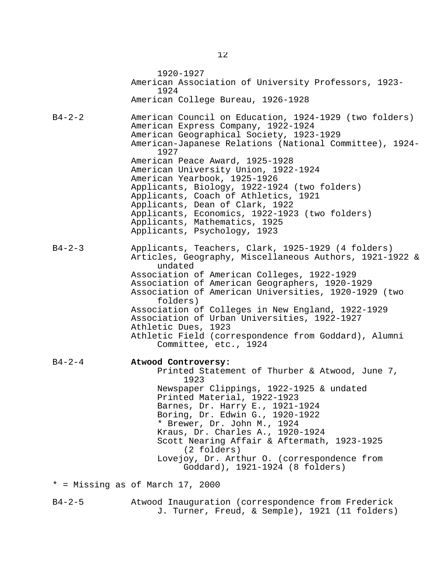1920-1927 American Association of University Professors, 1923- 1924 American College Bureau, 1926-1928 B4-2-2 American Council on Education, 1924-1929 (two folders) American Express Company, 1922-1924 American Geographical Society, 1923-1929 American-Japanese Relations (National Committee), 1924- 1927 American Peace Award, 1925-1928 American University Union, 1922-1924 American Yearbook, 1925-1926 Applicants, Biology, 1922-1924 (two folders) Applicants, Coach of Athletics, 1921 Applicants, Dean of Clark, 1922 Applicants, Economics, 1922-1923 (two folders) Applicants, Mathematics, 1925 Applicants, Psychology, 1923 B4-2-3 Applicants, Teachers, Clark, 1925-1929 (4 folders) Articles, Geography, Miscellaneous Authors, 1921-1922 & undated Association of American Colleges, 1922-1929 Association of American Geographers, 1920-1929 Association of American Universities, 1920-1929 (two folders) Association of Colleges in New England, 1922-1929 Association of Urban Universities, 1922-1927 Athletic Dues, 1923 Athletic Field (correspondence from Goddard), Alumni Committee, etc., 1924 B4-2-4 **Atwood Controversy:** Printed Statement of Thurber & Atwood, June 7, 1923 Newspaper Clippings, 1922-1925 & undated Printed Material, 1922-1923 Barnes, Dr. Harry E., 1921-1924 Boring, Dr. Edwin G., 1920-1922 \* Brewer, Dr. John M., 1924 Kraus, Dr. Charles A., 1920-1924 Scott Nearing Affair & Aftermath, 1923-1925 (2 folders) Lovejoy, Dr. Arthur O. (correspondence from Goddard), 1921-1924 (8 folders) \* = Missing as of March 17, 2000 B4-2-5 Atwood Inauguration (correspondence from Frederick

J. Turner, Freud, & Semple), 1921 (11 folders)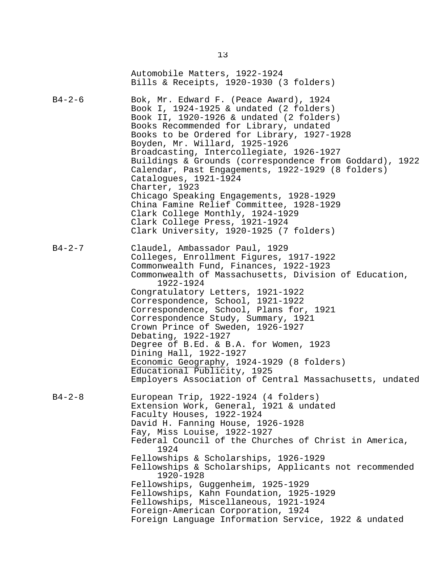|              | Automobile Matters, 1922-1924<br>Bills & Receipts, 1920-1930 (3 folders)                                                                                                                                                                                                                                                                                                                                                                                                                                                                                                                                                                                                |
|--------------|-------------------------------------------------------------------------------------------------------------------------------------------------------------------------------------------------------------------------------------------------------------------------------------------------------------------------------------------------------------------------------------------------------------------------------------------------------------------------------------------------------------------------------------------------------------------------------------------------------------------------------------------------------------------------|
| $B4 - 2 - 6$ | Bok, Mr. Edward F. (Peace Award), 1924<br>Book I, 1924-1925 & undated (2 folders)<br>Book II, 1920-1926 & undated (2 folders)<br>Books Recommended for Library, undated<br>Books to be Ordered for Library, 1927-1928<br>Boyden, Mr. Willard, 1925-1926<br>Broadcasting, Intercollegiate, 1926-1927<br>Buildings & Grounds (correspondence from Goddard), 1922<br>Calendar, Past Engagements, 1922-1929 (8 folders)<br>Catalogues, 1921-1924<br>Charter, 1923<br>Chicago Speaking Engagements, 1928-1929<br>China Famine Relief Committee, 1928-1929<br>Clark College Monthly, 1924-1929<br>Clark College Press, 1921-1924                                              |
| $B4 - 2 - 7$ | Clark University, 1920-1925 (7 folders)<br>Claudel, Ambassador Paul, 1929<br>Colleges, Enrollment Figures, 1917-1922<br>Commonwealth Fund, Finances, 1922-1923<br>Commonwealth of Massachusetts, Division of Education,<br>1922-1924<br>Congratulatory Letters, 1921-1922<br>Correspondence, School, 1921-1922<br>Correspondence, School, Plans for, 1921<br>Correspondence Study, Summary, 1921<br>Crown Prince of Sweden, 1926-1927<br>Debating, 1922-1927<br>Degree of B.Ed. & B.A. for Women, 1923<br>Dining Hall, 1922-1927<br>Economic Geography, 1924-1929 (8 folders)<br>Educational Publicity, 1925<br>Employers Association of Central Massachusetts, undated |
| $B4 - 2 - 8$ | European Trip, 1922-1924 (4 folders)<br>Extension Work, General, 1921 & undated<br>Faculty Houses, 1922-1924<br>David H. Fanning House, 1926-1928<br>Fay, Miss Louise, 1922-1927<br>Federal Council of the Churches of Christ in America,<br>1924<br>Fellowships & Scholarships, 1926-1929<br>Fellowships & Scholarships, Applicants not recommended<br>1920-1928<br>Fellowships, Guggenheim, 1925-1929<br>Fellowships, Kahn Foundation, 1925-1929<br>Fellowships, Miscellaneous, 1921-1924<br>Foreign-American Corporation, 1924<br>Foreign Language Information Service, 1922 & undated                                                                               |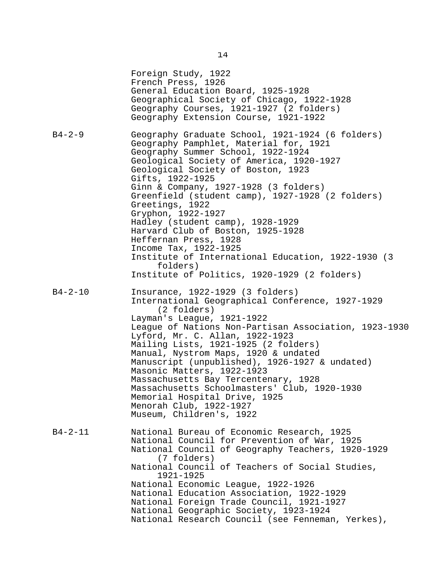Foreign Study, 1922 French Press, 1926 General Education Board, 1925-1928 Geographical Society of Chicago, 1922-1928 Geography Courses, 1921-1927 (2 folders) Geography Extension Course, 1921-1922 B4-2-9 Geography Graduate School, 1921-1924 (6 folders) Geography Pamphlet, Material for, 1921 Geography Summer School, 1922-1924 Geological Society of America, 1920-1927 Geological Society of Boston, 1923 Gifts, 1922-1925 Ginn & Company, 1927-1928 (3 folders) Greenfield (student camp), 1927-1928 (2 folders) Greetings, 1922 Gryphon, 1922-1927 Hadley (student camp), 1928-1929 Harvard Club of Boston, 1925-1928 Heffernan Press, 1928 Income Tax, 1922-1925 Institute of International Education, 1922-1930 (3 folders) Institute of Politics, 1920-1929 (2 folders) B4-2-10 Insurance, 1922-1929 (3 folders) International Geographical Conference, 1927-1929 (2 folders) Layman's League, 1921-1922 League of Nations Non-Partisan Association, 1923-1930 Lyford, Mr. C. Allan, 1922-1923 Mailing Lists, 1921-1925 (2 folders) Manual, Nystrom Maps, 1920 & undated Manuscript (unpublished), 1926-1927 & undated) Masonic Matters, 1922-1923 Massachusetts Bay Tercentenary, 1928 Massachusetts Schoolmasters' Club, 1920-1930 Memorial Hospital Drive, 1925 Menorah Club, 1922-1927 Museum, Children's, 1922 B4-2-11 National Bureau of Economic Research, 1925 National Council for Prevention of War, 1925 National Council of Geography Teachers, 1920-1929 (7 folders) National Council of Teachers of Social Studies, 1921-1925 National Economic League, 1922-1926 National Education Association, 1922-1929 National Foreign Trade Council, 1921-1927 National Geographic Society, 1923-1924 National Research Council (see Fenneman, Yerkes),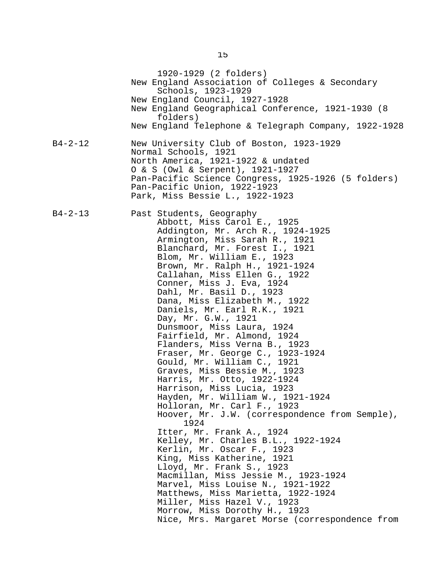1920-1929 (2 folders) New England Association of Colleges & Secondary Schools, 1923-1929 New England Council, 1927-1928 New England Geographical Conference, 1921-1930 (8 folders) New England Telephone & Telegraph Company, 1922-1928 B4-2-12 New University Club of Boston, 1923-1929 Normal Schools, 1921 North America, 1921-1922 & undated O & S (Owl & Serpent), 1921-1927 Pan-Pacific Science Congress, 1925-1926 (5 folders) Pan-Pacific Union, 1922-1923 Park, Miss Bessie L., 1922-1923 B4-2-13 Past Students, Geography Abbott, Miss Carol E., 1925 Addington, Mr. Arch R., 1924-1925 Armington, Miss Sarah R., 1921 Blanchard, Mr. Forest I., 1921 Blom, Mr. William E., 1923 Brown, Mr. Ralph H., 1921-1924 Callahan, Miss Ellen G., 1922 Conner, Miss J. Eva, 1924 Dahl, Mr. Basil D., 1923 Dana, Miss Elizabeth M., 1922 Daniels, Mr. Earl R.K., 1921 Day, Mr. G.W., 1921 Dunsmoor, Miss Laura, 1924 Fairfield, Mr. Almond, 1924 Flanders, Miss Verna B., 1923 Fraser, Mr. George C., 1923-1924 Gould, Mr. William C., 1921 Graves, Miss Bessie M., 1923 Harris, Mr. Otto, 1922-1924 Harrison, Miss Lucia, 1923 Hayden, Mr. William W., 1921-1924 Holloran, Mr. Carl F., 1923 Hoover, Mr. J.W. (correspondence from Semple), 1924 Itter, Mr. Frank A., 1924 Kelley, Mr. Charles B.L., 1922-1924 Kerlin, Mr. Oscar F., 1923 King, Miss Katherine, 1921 Lloyd, Mr. Frank S., 1923 Macmillan, Miss Jessie M., 1923-1924 Marvel, Miss Louise N., 1921-1922 Matthews, Miss Marietta, 1922-1924 Miller, Miss Hazel V., 1923 Morrow, Miss Dorothy H., 1923 Nice, Mrs. Margaret Morse (correspondence from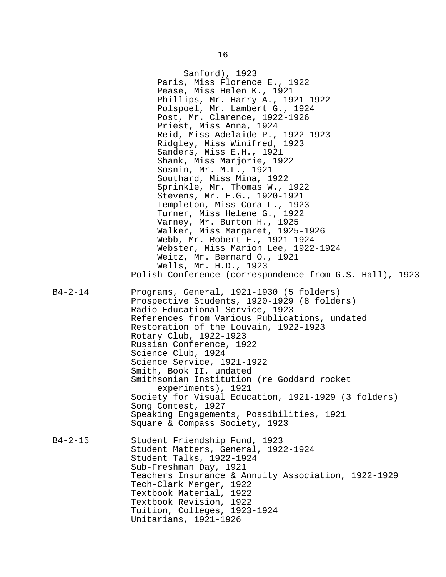Sanford), 1923 Paris, Miss Florence E., 1922 Pease, Miss Helen K., 1921 Phillips, Mr. Harry A., 1921-1922 Polspoel, Mr. Lambert G., 1924 Post, Mr. Clarence, 1922-1926 Priest, Miss Anna, 1924 Reid, Miss Adelaide P., 1922-1923 Ridgley, Miss Winifred, 1923 Sanders, Miss E.H., 1921 Shank, Miss Marjorie, 1922 Sosnin, Mr. M.L., 1921 Southard, Miss Mina, 1922 Sprinkle, Mr. Thomas W., 1922 Stevens, Mr. E.G., 1920-1921 Templeton, Miss Cora L., 1923 Turner, Miss Helene G., 1922 Varney, Mr. Burton H., 1925 Walker, Miss Margaret, 1925-1926 Webb, Mr. Robert F., 1921-1924 Webster, Miss Marion Lee, 1922-1924 Weitz, Mr. Bernard O., 1921 Wells, Mr. H.D., 1923 Polish Conference (correspondence from G.S. Hall), 1923 B4-2-14 Programs, General, 1921-1930 (5 folders) Prospective Students, 1920-1929 (8 folders) Radio Educational Service, 1923 References from Various Publications, undated Restoration of the Louvain, 1922-1923 Rotary Club, 1922-1923 Russian Conference, 1922 Science Club, 1924 Science Service, 1921-1922 Smith, Book II, undated Smithsonian Institution (re Goddard rocket experiments), 1921 Society for Visual Education, 1921-1929 (3 folders) Song Contest, 1927 Speaking Engagements, Possibilities, 1921 Square & Compass Society, 1923 B4-2-15 Student Friendship Fund, 1923 Student Matters, General, 1922-1924 Student Talks, 1922-1924 Sub-Freshman Day, 1921 Teachers Insurance & Annuity Association, 1922-1929 Tech-Clark Merger, 1922 Textbook Material, 1922 Textbook Revision, 1922 Tuition, Colleges, 1923-1924 Unitarians, 1921-1926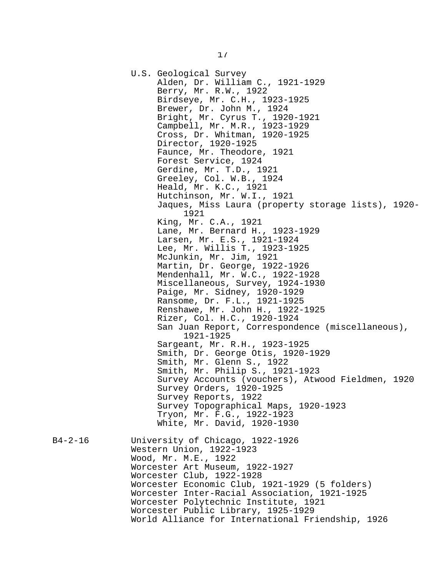U.S. Geological Survey Alden, Dr. William C., 1921-1929 Berry, Mr. R.W., 1922 Birdseye, Mr. C.H., 1923-1925 Brewer, Dr. John M., 1924 Bright, Mr. Cyrus T., 1920-1921 Campbell, Mr. M.R., 1923-1929 Cross, Dr. Whitman, 1920-1925 Director, 1920-1925 Faunce, Mr. Theodore, 1921 Forest Service, 1924 Gerdine, Mr. T.D., 1921 Greeley, Col. W.B., 1924 Heald, Mr. K.C., 1921 Hutchinson, Mr. W.I., 1921 Jaques, Miss Laura (property storage lists), 1920- 1921 King, Mr. C.A., 1921 Lane, Mr. Bernard H., 1923-1929 Larsen, Mr. E.S., 1921-1924 Lee, Mr. Willis T., 1923-1925 McJunkin, Mr. Jim, 1921 Martin, Dr. George, 1922-1926 Mendenhall, Mr. W.C., 1922-1928 Miscellaneous, Survey, 1924-1930 Paige, Mr. Sidney, 1920-1929 Ransome, Dr. F.L., 1921-1925 Renshawe, Mr. John H., 1922-1925 Rizer, Col. H.C., 1920-1924 San Juan Report, Correspondence (miscellaneous), 1921-1925 Sargeant, Mr. R.H., 1923-1925 Smith, Dr. George Otis, 1920-1929 Smith, Mr. Glenn S., 1922 Smith, Mr. Philip S., 1921-1923 Survey Accounts (vouchers), Atwood Fieldmen, 1920 Survey Orders, 1920-1925 Survey Reports, 1922 Survey Topographical Maps, 1920-1923 Tryon, Mr. F.G., 1922-1923 White, Mr. David, 1920-1930 B4-2-16 University of Chicago, 1922-1926 Western Union, 1922-1923 Wood, Mr. M.E., 1922 Worcester Art Museum, 1922-1927 Worcester Club, 1922-1928 Worcester Economic Club, 1921-1929 (5 folders) Worcester Inter-Racial Association, 1921-1925 Worcester Polytechnic Institute, 1921 Worcester Public Library, 1925-1929

World Alliance for International Friendship, 1926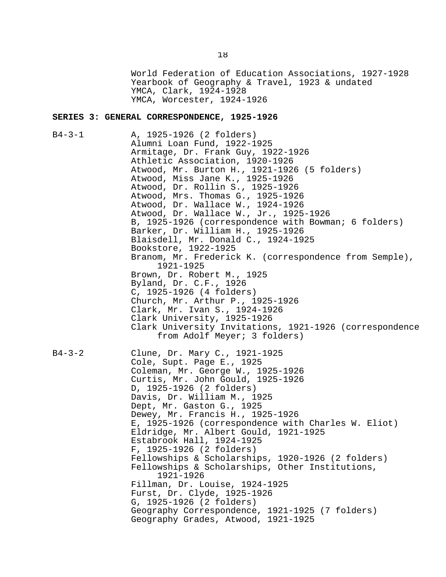World Federation of Education Associations, 1927-1928 Yearbook of Geography & Travel, 1923 & undated YMCA, Clark, 1924-1928 YMCA, Worcester, 1924-1926

#### **SERIES 3: GENERAL CORRESPONDENCE, 1925-1926**

B4-3-1 A, 1925-1926 (2 folders) Alumni Loan Fund, 1922-1925 Armitage, Dr. Frank Guy, 1922-1926 Athletic Association, 1920-1926 Atwood, Mr. Burton H., 1921-1926 (5 folders) Atwood, Miss Jane K., 1925-1926 Atwood, Dr. Rollin S., 1925-1926 Atwood, Mrs. Thomas G., 1925-1926 Atwood, Dr. Wallace W., 1924-1926 Atwood, Dr. Wallace W., Jr., 1925-1926 B, 1925-1926 (correspondence with Bowman; 6 folders) Barker, Dr. William H., 1925-1926 Blaisdell, Mr. Donald C., 1924-1925 Bookstore, 1922-1925 Branom, Mr. Frederick K. (correspondence from Semple), 1921-1925 Brown, Dr. Robert M., 1925 Byland, Dr. C.F., 1926 C, 1925-1926 (4 folders) Church, Mr. Arthur P., 1925-1926 Clark, Mr. Ivan S., 1924-1926 Clark University, 1925-1926 Clark University Invitations, 1921-1926 (correspondence from Adolf Meyer; 3 folders) B4-3-2 Clune, Dr. Mary C., 1921-1925 Cole, Supt. Page E., 1925 Coleman, Mr. George W., 1925-1926 Curtis, Mr. John Gould, 1925-1926 D, 1925-1926 (2 folders) Davis, Dr. William M., 1925 Dept, Mr. Gaston G., 1925 Dewey, Mr. Francis H., 1925-1926 E, 1925-1926 (correspondence with Charles W. Eliot) Eldridge, Mr. Albert Gould, 1921-1925 Estabrook Hall, 1924-1925 F, 1925-1926 (2 folders) Fellowships & Scholarships, 1920-1926 (2 folders) Fellowships & Scholarships, Other Institutions, 1921-1926 Fillman, Dr. Louise, 1924-1925 Furst, Dr. Clyde, 1925-1926 G, 1925-1926 (2 folders) Geography Correspondence, 1921-1925 (7 folders) Geography Grades, Atwood, 1921-1925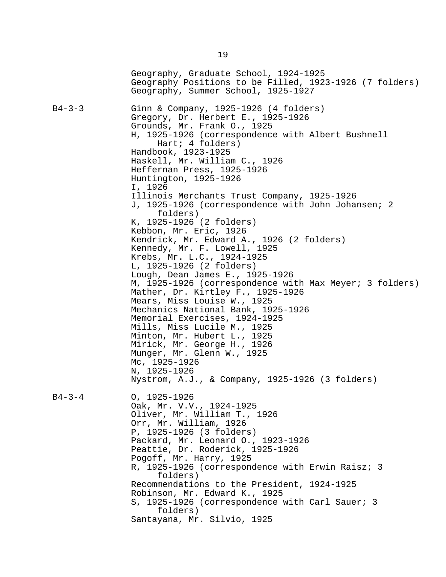Geography, Graduate School, 1924-1925 Geography Positions to be Filled, 1923-1926 (7 folders) Geography, Summer School, 1925-1927 B4-3-3 Ginn & Company, 1925-1926 (4 folders) Gregory, Dr. Herbert E., 1925-1926 Grounds, Mr. Frank O., 1925 H, 1925-1926 (correspondence with Albert Bushnell Hart; 4 folders) Handbook, 1923-1925 Haskell, Mr. William C., 1926 Heffernan Press, 1925-1926 Huntington, 1925-1926 I, 1926 Illinois Merchants Trust Company, 1925-1926 J, 1925-1926 (correspondence with John Johansen; 2 folders) K, 1925-1926 (2 folders) Kebbon, Mr. Eric, 1926 Kendrick, Mr. Edward A., 1926 (2 folders) Kennedy, Mr. F. Lowell, 1925 Krebs, Mr. L.C., 1924-1925 L, 1925-1926 (2 folders) Lough, Dean James E., 1925-1926 M, 1925-1926 (correspondence with Max Meyer; 3 folders) Mather, Dr. Kirtley F., 1925-1926 Mears, Miss Louise W., 1925 Mechanics National Bank, 1925-1926 Memorial Exercises, 1924-1925 Mills, Miss Lucile M., 1925 Minton, Mr. Hubert L., 1925 Mirick, Mr. George H., 1926 Munger, Mr. Glenn W., 1925 Mc, 1925-1926 N, 1925-1926 Nystrom, A.J., & Company, 1925-1926 (3 folders) B4-3-4 O, 1925-1926 Oak, Mr. V.V., 1924-1925 Oliver, Mr. William T., 1926 Orr, Mr. William, 1926 P, 1925-1926 (3 folders) Packard, Mr. Leonard O., 1923-1926 Peattie, Dr. Roderick, 1925-1926 Pogoff, Mr. Harry, 1925 R, 1925-1926 (correspondence with Erwin Raisz; 3 folders) Recommendations to the President, 1924-1925 Robinson, Mr. Edward K., 1925 S, 1925-1926 (correspondence with Carl Sauer; 3 folders) Santayana, Mr. Silvio, 1925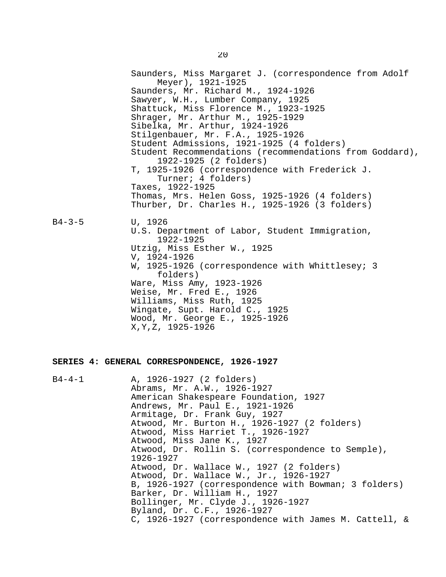Saunders, Miss Margaret J. (correspondence from Adolf Meyer), 1921-1925 Saunders, Mr. Richard M., 1924-1926 Sawyer, W.H., Lumber Company, 1925 Shattuck, Miss Florence M., 1923-1925 Shrager, Mr. Arthur M., 1925-1929 Sibelka, Mr. Arthur, 1924-1926 Stilgenbauer, Mr. F.A., 1925-1926 Student Admissions, 1921-1925 (4 folders) Student Recommendations (recommendations from Goddard), 1922-1925 (2 folders) T, 1925-1926 (correspondence with Frederick J. Turner; 4 folders) Taxes, 1922-1925 Thomas, Mrs. Helen Goss, 1925-1926 (4 folders) Thurber, Dr. Charles H., 1925-1926 (3 folders) B4-3-5 U, 1926 U.S. Department of Labor, Student Immigration, 1922-1925 Utzig, Miss Esther W., 1925 V, 1924-1926 W, 1925-1926 (correspondence with Whittlesey; 3 folders) Ware, Miss Amy, 1923-1926 Weise, Mr. Fred E., 1926 Williams, Miss Ruth, 1925 Wingate, Supt. Harold C., 1925 Wood, Mr. George E., 1925-1926 X,Y,Z, 1925-1926

#### **SERIES 4: GENERAL CORRESPONDENCE, 1926-1927**

| $B4 - 4 - 1$ | A, 1926-1927 (2 folders)                              |
|--------------|-------------------------------------------------------|
|              | Abrams, Mr. A.W., 1926-1927                           |
|              | American Shakespeare Foundation, 1927                 |
|              | Andrews, Mr. Paul E., 1921-1926                       |
|              | Armitage, Dr. Frank Guy, 1927                         |
|              | Atwood, Mr. Burton H., 1926-1927 (2 folders)          |
|              | Atwood, Miss Harriet T., 1926-1927                    |
|              | Atwood, Miss Jane K., 1927                            |
|              | Atwood, Dr. Rollin S. (correspondence to Semple),     |
|              | 1926-1927                                             |
|              | Atwood, Dr. Wallace W., 1927 (2 folders)              |
|              | Atwood, Dr. Wallace W., Jr., 1926-1927                |
|              | B, 1926-1927 (correspondence with Bowman; 3 folders)  |
|              | Barker, Dr. William H., 1927                          |
|              | Bollinger, Mr. Clyde J., 1926-1927                    |
|              | Byland, Dr. C.F., 1926-1927                           |
|              | C, 1926-1927 (correspondence with James M. Cattell, & |
|              |                                                       |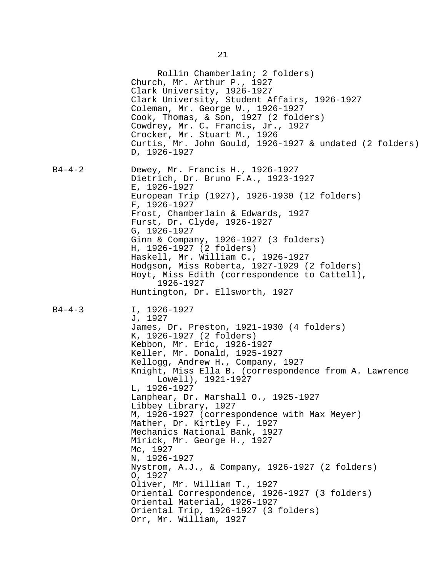|              | Rollin Chamberlain; 2 folders)<br>Church, Mr. Arthur P., 1927<br>Clark University, 1926-1927<br>Clark University, Student Affairs, 1926-1927<br>Coleman, Mr. George W., 1926-1927<br>Cook, Thomas, & Son, 1927 (2 folders)<br>Cowdrey, Mr. C. Francis, Jr., 1927<br>Crocker, Mr. Stuart M., 1926<br>Curtis, Mr. John Gould, 1926-1927 & undated (2 folders)<br>D, 1926-1927                                                                                                                                                                                                                                                                                                                                                                                                                        |
|--------------|----------------------------------------------------------------------------------------------------------------------------------------------------------------------------------------------------------------------------------------------------------------------------------------------------------------------------------------------------------------------------------------------------------------------------------------------------------------------------------------------------------------------------------------------------------------------------------------------------------------------------------------------------------------------------------------------------------------------------------------------------------------------------------------------------|
| $B4 - 4 - 2$ | Dewey, Mr. Francis H., 1926-1927<br>Dietrich, Dr. Bruno F.A., 1923-1927<br>E, 1926-1927<br>European Trip (1927), 1926-1930 (12 folders)<br>$F, 1926 - 1927$<br>Frost, Chamberlain & Edwards, 1927<br>Furst, Dr. Clyde, 1926-1927<br>G, 1926-1927<br>Ginn & Company, 1926-1927 (3 folders)<br>H, 1926-1927 (2 folders)<br>Haskell, Mr. William C., 1926-1927<br>Hodgson, Miss Roberta, 1927-1929 (2 folders)<br>Hoyt, Miss Edith (correspondence to Cattell),<br>1926-1927<br>Huntington, Dr. Ellsworth, 1927                                                                                                                                                                                                                                                                                       |
| $B4 - 4 - 3$ | I, 1926-1927<br>J, 1927<br>James, Dr. Preston, 1921-1930 (4 folders)<br>K, 1926-1927 (2 folders)<br>Kebbon, Mr. Eric, 1926-1927<br>Keller, Mr. Donald, 1925-1927<br>Kellogg, Andrew H., Company, 1927<br>Knight, Miss Ella B. (correspondence from A. Lawrence<br>Lowell), 1921-1927<br>L, 1926-1927<br>Lanphear, Dr. Marshall O., 1925-1927<br>Libbey Library, 1927<br>M, 1926-1927 (correspondence with Max Meyer)<br>Mather, Dr. Kirtley F., 1927<br>Mechanics National Bank, 1927<br>Mirick, Mr. George H., 1927<br>Mc, 1927<br>N, 1926-1927<br>Nystrom, A.J., & Company, 1926-1927 (2 folders)<br>0, 1927<br>Oliver, Mr. William T., 1927<br>Oriental Correspondence, 1926-1927 (3 folders)<br>Oriental Material, 1926-1927<br>Oriental Trip, 1926-1927 (3 folders)<br>Orr, Mr. William, 1927 |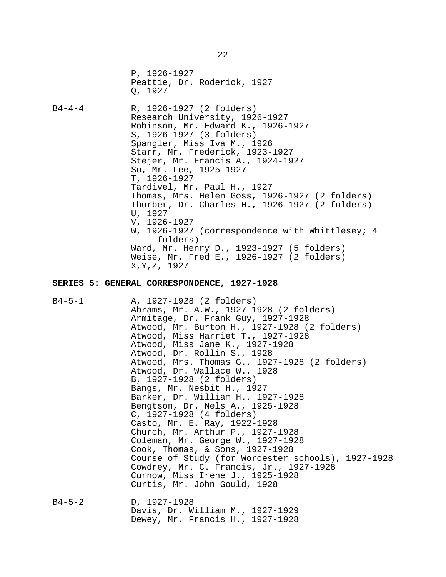P, 1926-1927 Peattie, Dr. Roderick, 1927 Q, 1927 B4-4-4 R, 1926-1927 (2 folders) Research University, 1926-1927 Robinson, Mr. Edward K., 1926-1927 S, 1926-1927 (3 folders) Spangler, Miss Iva M., 1926 Starr, Mr. Frederick, 1923-1927 Stejer, Mr. Francis A., 1924-1927 Su, Mr. Lee, 1925-1927 T, 1926-1927 Tardivel, Mr. Paul H., 1927 Thomas, Mrs. Helen Goss, 1926-1927 (2 folders) Thurber, Dr. Charles H., 1926-1927 (2 folders) U, 1927 V, 1926-1927 W, 1926-1927 (correspondence with Whittlesey; 4 folders) Ward, Mr. Henry D., 1923-1927 (5 folders) Weise, Mr. Fred E., 1926-1927 (2 folders) X,Y,Z, 1927

#### **SERIES 5: GENERAL CORRESPONDENCE, 1927-1928**

B4-5-1 A, 1927-1928 (2 folders) Abrams, Mr. A.W., 1927-1928 (2 folders) Armitage, Dr. Frank Guy, 1927-1928 Atwood, Mr. Burton H., 1927-1928 (2 folders) Atwood, Miss Harriet T., 1927-1928 Atwood, Miss Jane K., 1927-1928 Atwood, Dr. Rollin S., 1928 Atwood, Mrs. Thomas G., 1927-1928 (2 folders) Atwood, Dr. Wallace W., 1928 B, 1927-1928 (2 folders) Bangs, Mr. Nesbit H., 1927 Barker, Dr. William H., 1927-1928 Bengtson, Dr. Nels A., 1925-1928 C, 1927-1928 (4 folders) Casto, Mr. E. Ray, 1922-1928 Church, Mr. Arthur P., 1927-1928 Coleman, Mr. George W., 1927-1928 Cook, Thomas, & Sons, 1927-1928 Course of Study (for Worcester schools), 1927-1928 Cowdrey, Mr. C. Francis, Jr., 1927-1928 Curnow, Miss Irene J., 1925-1928 Curtis, Mr. John Gould, 1928

B4-5-2 D, 1927-1928 Davis, Dr. William M., 1927-1929 Dewey, Mr. Francis H., 1927-1928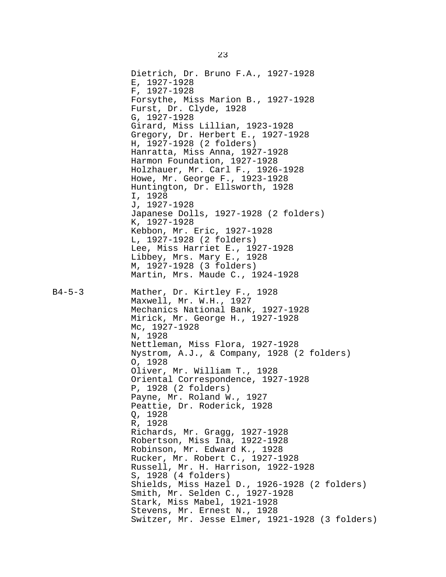Dietrich, Dr. Bruno F.A., 1927-1928 E, 1927-1928 F, 1927-1928 Forsythe, Miss Marion B., 1927-1928 Furst, Dr. Clyde, 1928 G, 1927-1928 Girard, Miss Lillian, 1923-1928 Gregory, Dr. Herbert E., 1927-1928 H, 1927-1928 (2 folders) Hanratta, Miss Anna, 1927-1928 Harmon Foundation, 1927-1928 Holzhauer, Mr. Carl F., 1926-1928 Howe, Mr. George F., 1923-1928 Huntington, Dr. Ellsworth, 1928 I, 1928 J, 1927-1928 Japanese Dolls, 1927-1928 (2 folders) K, 1927-1928 Kebbon, Mr. Eric, 1927-1928 L, 1927-1928 (2 folders) Lee, Miss Harriet E., 1927-1928 Libbey, Mrs. Mary E., 1928 M, 1927-1928 (3 folders) Martin, Mrs. Maude C., 1924-1928 B4-5-3 Mather, Dr. Kirtley F., 1928 Maxwell, Mr. W.H., 1927 Mechanics National Bank, 1927-1928 Mirick, Mr. George H., 1927-1928 Mc, 1927-1928 N, 1928 Nettleman, Miss Flora, 1927-1928 Nystrom, A.J., & Company, 1928 (2 folders) O, 1928 Oliver, Mr. William T., 1928 Oriental Correspondence, 1927-1928 P, 1928 (2 folders) Payne, Mr. Roland W., 1927 Peattie, Dr. Roderick, 1928 Q, 1928 R, 1928 Richards, Mr. Gragg, 1927-1928 Robertson, Miss Ina, 1922-1928 Robinson, Mr. Edward K., 1928 Rucker, Mr. Robert C., 1927-1928 Russell, Mr. H. Harrison, 1922-1928 S, 1928 (4 folders) Shields, Miss Hazel D., 1926-1928 (2 folders) Smith, Mr. Selden C., 1927-1928 Stark, Miss Mabel, 1921-1928 Stevens, Mr. Ernest N., 1928 Switzer, Mr. Jesse Elmer, 1921-1928 (3 folders)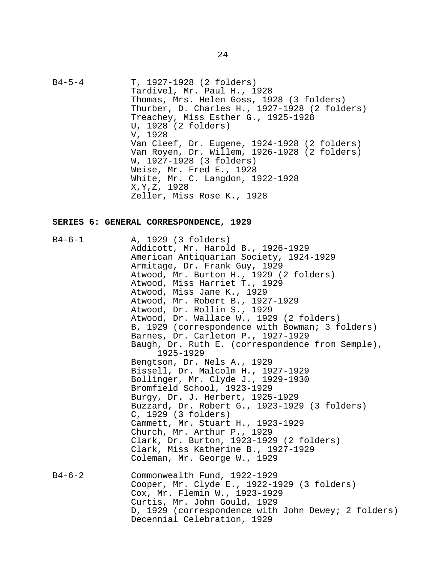B4-5-4 T, 1927-1928 (2 folders) Tardivel, Mr. Paul H., 1928 Thomas, Mrs. Helen Goss, 1928 (3 folders) Thurber, D. Charles H., 1927-1928 (2 folders) Treachey, Miss Esther G., 1925-1928 U, 1928 (2 folders) V, 1928 Van Cleef, Dr. Eugene, 1924-1928 (2 folders) Van Royen, Dr. Willem, 1926-1928 (2 folders) W, 1927-1928 (3 folders) Weise, Mr. Fred E., 1928 White, Mr. C. Langdon, 1922-1928 X,Y,Z, 1928 Zeller, Miss Rose K., 1928

#### **SERIES 6: GENERAL CORRESPONDENCE, 1929**

B4-6-1 A, 1929 (3 folders) Addicott, Mr. Harold B., 1926-1929 American Antiquarian Society, 1924-1929 Armitage, Dr. Frank Guy, 1929 Atwood, Mr. Burton H., 1929 (2 folders) Atwood, Miss Harriet T., 1929 Atwood, Miss Jane K., 1929 Atwood, Mr. Robert B., 1927-1929 Atwood, Dr. Rollin S., 1929 Atwood, Dr. Wallace W., 1929 (2 folders) B, 1929 (correspondence with Bowman; 3 folders) Barnes, Dr. Carleton P., 1927-1929 Baugh, Dr. Ruth E. (correspondence from Semple), 1925-1929 Bengtson, Dr. Nels A., 1929 Bissell, Dr. Malcolm H., 1927-1929 Bollinger, Mr. Clyde J., 1929-1930 Bromfield School, 1923-1929 Burgy, Dr. J. Herbert, 1925-1929 Buzzard, Dr. Robert G., 1923-1929 (3 folders) C, 1929 (3 folders) Cammett, Mr. Stuart H., 1923-1929 Church, Mr. Arthur P., 1929 Clark, Dr. Burton, 1923-1929 (2 folders) Clark, Miss Katherine B., 1927-1929 Coleman, Mr. George W., 1929 B4-6-2 Commonwealth Fund, 1922-1929 Cooper, Mr. Clyde E., 1922-1929 (3 folders) Cox, Mr. Flemin W., 1923-1929 Curtis, Mr. John Gould, 1929 D, 1929 (correspondence with John Dewey; 2 folders) Decennial Celebration, 1929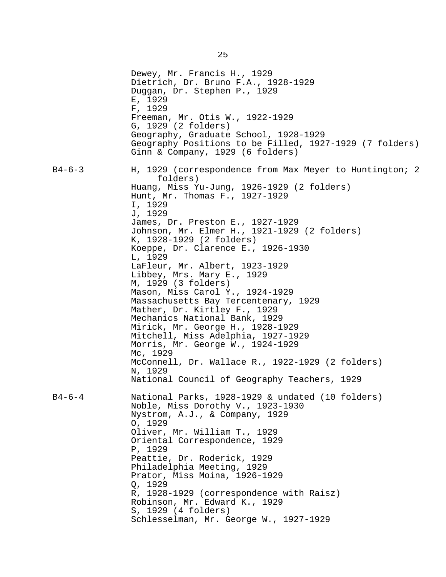|              | Dewey, Mr. Francis H., 1929<br>Dietrich, Dr. Bruno F.A., 1928-1929<br>Duggan, Dr. Stephen P., 1929<br>E, 1929<br>F, 1929<br>Freeman, Mr. Otis W., 1922-1929<br>G, 1929 (2 folders)<br>Geography, Graduate School, 1928-1929<br>Geography Positions to be Filled, 1927-1929 (7 folders)<br>Ginn & Company, 1929 (6 folders)                                                                                                                                            |
|--------------|-----------------------------------------------------------------------------------------------------------------------------------------------------------------------------------------------------------------------------------------------------------------------------------------------------------------------------------------------------------------------------------------------------------------------------------------------------------------------|
| B4-6-3       | H, 1929 (correspondence from Max Meyer to Huntington; 2<br>folders)<br>Huang, Miss Yu-Jung, 1926-1929 (2 folders)<br>Hunt, Mr. Thomas F., 1927-1929<br>I, 1929<br>J, 1929<br>James, Dr. Preston E., 1927-1929<br>Johnson, Mr. Elmer H., 1921-1929 (2 folders)<br>K, 1928-1929 (2 folders)<br>Koeppe, Dr. Clarence E., 1926-1930                                                                                                                                       |
|              | L, 1929<br>LaFleur, Mr. Albert, 1923-1929<br>Libbey, Mrs. Mary E., 1929<br>M, 1929 (3 folders)<br>Mason, Miss Carol Y., 1924-1929<br>Massachusetts Bay Tercentenary, 1929<br>Mather, Dr. Kirtley F., 1929<br>Mechanics National Bank, 1929<br>Mirick, Mr. George H., 1928-1929<br>Mitchell, Miss Adelphia, 1927-1929<br>Morris, Mr. George W., 1924-1929<br>Mc, 1929<br>McConnell, Dr. Wallace R., 1922-1929 (2 folders)                                              |
|              | N, 1929<br>National Council of Geography Teachers, 1929                                                                                                                                                                                                                                                                                                                                                                                                               |
| $B4 - 6 - 4$ | National Parks, 1928-1929 & undated (10 folders)<br>Noble, Miss Dorothy V., 1923-1930<br>Nystrom, A.J., & Company, 1929<br>0, 1929<br>Oliver, Mr. William T., 1929<br>Oriental Correspondence, 1929<br>P, 1929<br>Peattie, Dr. Roderick, 1929<br>Philadelphia Meeting, 1929<br>Prator, Miss Moina, 1926-1929<br>Q, 1929<br>R, 1928-1929 (correspondence with Raisz)<br>Robinson, Mr. Edward K., 1929<br>S, 1929 (4 folders)<br>Schlesselman, Mr. George W., 1927-1929 |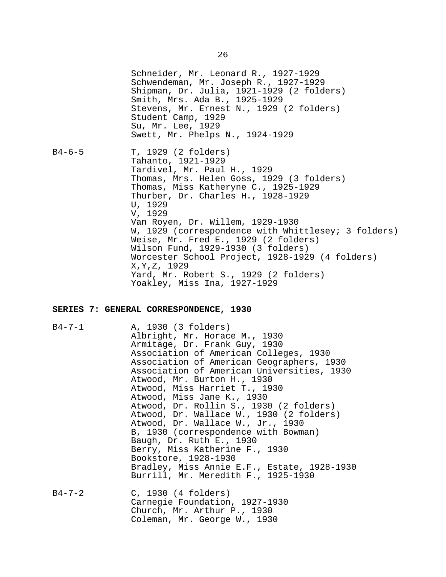Schneider, Mr. Leonard R., 1927-1929 Schwendeman, Mr. Joseph R., 1927-1929 Shipman, Dr. Julia, 1921-1929 (2 folders) Smith, Mrs. Ada B., 1925-1929 Stevens, Mr. Ernest N., 1929 (2 folders) Student Camp, 1929 Su, Mr. Lee, 1929 Swett, Mr. Phelps N., 1924-1929 B4-6-5 T, 1929 (2 folders) Tahanto, 1921-1929 Tardivel, Mr. Paul H., 1929 Thomas, Mrs. Helen Goss, 1929 (3 folders) Thomas, Miss Katheryne C., 1925-1929 Thurber, Dr. Charles H., 1928-1929 U, 1929 V, 1929 Van Royen, Dr. Willem, 1929-1930 W, 1929 (correspondence with Whittlesey; 3 folders) Weise, Mr. Fred E., 1929 (2 folders) Wilson Fund, 1929-1930 (3 folders) Worcester School Project, 1928-1929 (4 folders) X,Y,Z, 1929 Yard, Mr. Robert S., 1929 (2 folders) Yoakley, Miss Ina, 1927-1929

#### **SERIES 7: GENERAL CORRESPONDENCE, 1930**

B4-7-1 A, 1930 (3 folders) Albright, Mr. Horace M., 1930 Armitage, Dr. Frank Guy, 1930 Association of American Colleges, 1930 Association of American Geographers, 1930 Association of American Universities, 1930 Atwood, Mr. Burton H., 1930 Atwood, Miss Harriet T., 1930 Atwood, Miss Jane K., 1930 Atwood, Dr. Rollin S., 1930 (2 folders) Atwood, Dr. Wallace W., 1930 (2 folders) Atwood, Dr. Wallace W., Jr., 1930 B, 1930 (correspondence with Bowman) Baugh, Dr. Ruth E., 1930 Berry, Miss Katherine F., 1930 Bookstore, 1928-1930 Bradley, Miss Annie E.F., Estate, 1928-1930 Burrill, Mr. Meredith F., 1925-1930 B4-7-2 C, 1930 (4 folders) Carnegie Foundation, 1927-1930 Church, Mr. Arthur P., 1930

Coleman, Mr. George W., 1930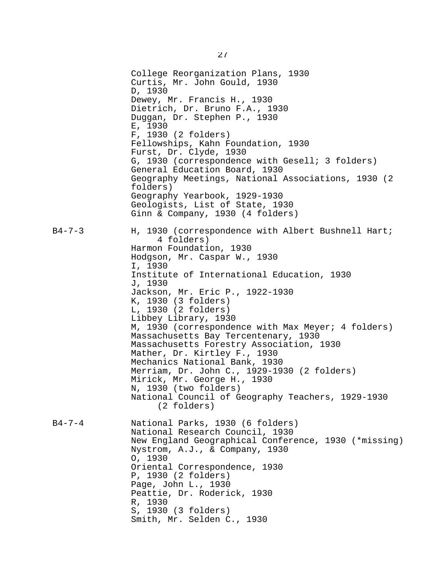College Reorganization Plans, 1930 Curtis, Mr. John Gould, 1930 D, 1930 Dewey, Mr. Francis H., 1930 Dietrich, Dr. Bruno F.A., 1930 Duggan, Dr. Stephen P., 1930 E, 1930 F, 1930 (2 folders) Fellowships, Kahn Foundation, 1930 Furst, Dr. Clyde, 1930 G, 1930 (correspondence with Gesell; 3 folders) General Education Board, 1930 Geography Meetings, National Associations, 1930 (2 folders) Geography Yearbook, 1929-1930 Geologists, List of State, 1930 Ginn & Company, 1930 (4 folders) B4-7-3 H, 1930 (correspondence with Albert Bushnell Hart; 4 folders) Harmon Foundation, 1930 Hodgson, Mr. Caspar W., 1930 I, 1930 Institute of International Education, 1930 J, 1930 Jackson, Mr. Eric P., 1922-1930 K, 1930 (3 folders) L, 1930 (2 folders) Libbey Library, 1930 M, 1930 (correspondence with Max Meyer; 4 folders) Massachusetts Bay Tercentenary, 1930 Massachusetts Forestry Association, 1930 Mather, Dr. Kirtley F., 1930 Mechanics National Bank, 1930 Merriam, Dr. John C., 1929-1930 (2 folders) Mirick, Mr. George H., 1930 N, 1930 (two folders) National Council of Geography Teachers, 1929-1930 (2 folders) B4-7-4 National Parks, 1930 (6 folders) National Research Council, 1930 New England Geographical Conference, 1930 (\*missing) Nystrom, A.J., & Company, 1930 O, 1930 Oriental Correspondence, 1930 P, 1930 (2 folders) Page, John L., 1930 Peattie, Dr. Roderick, 1930 R, 1930 S, 1930 (3 folders) Smith, Mr. Selden C., 1930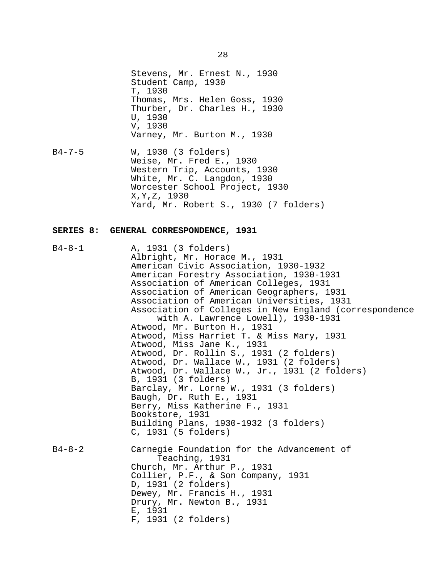Stevens, Mr. Ernest N., 1930 Student Camp, 1930 T, 1930 Thomas, Mrs. Helen Goss, 1930 Thurber, Dr. Charles H., 1930 U, 1930 V, 1930 Varney, Mr. Burton M., 1930

B4-7-5 W, 1930 (3 folders) Weise, Mr. Fred E., 1930 Western Trip, Accounts, 1930 White, Mr. C. Langdon, 1930 Worcester School Project, 1930 X,Y,Z, 1930 Yard, Mr. Robert S., 1930 (7 folders)

#### **SERIES 8: GENERAL CORRESPONDENCE, 1931**

B4-8-1 A, 1931 (3 folders) Albright, Mr. Horace M., 1931 American Civic Association, 1930-1932 American Forestry Association, 1930-1931 Association of American Colleges, 1931 Association of American Geographers, 1931 Association of American Universities, 1931 Association of Colleges in New England (correspondence with A. Lawrence Lowell), 1930-1931 Atwood, Mr. Burton H., 1931 Atwood, Miss Harriet T. & Miss Mary, 1931 Atwood, Miss Jane K., 1931 Atwood, Dr. Rollin S., 1931 (2 folders) Atwood, Dr. Wallace W., 1931 (2 folders) Atwood, Dr. Wallace W., Jr., 1931 (2 folders) B, 1931 (3 folders) Barclay, Mr. Lorne W., 1931 (3 folders) Baugh, Dr. Ruth E., 1931 Berry, Miss Katherine F., 1931 Bookstore, 1931 Building Plans, 1930-1932 (3 folders) C, 1931 (5 folders) B4-8-2 Carnegie Foundation for the Advancement of Teaching, 1931 Church, Mr. Arthur P., 1931 Collier, P.F., & Son Company, 1931 D, 1931 (2 folders) Dewey, Mr. Francis H., 1931 Drury, Mr. Newton B., 1931 E, 1931 F, 1931 (2 folders)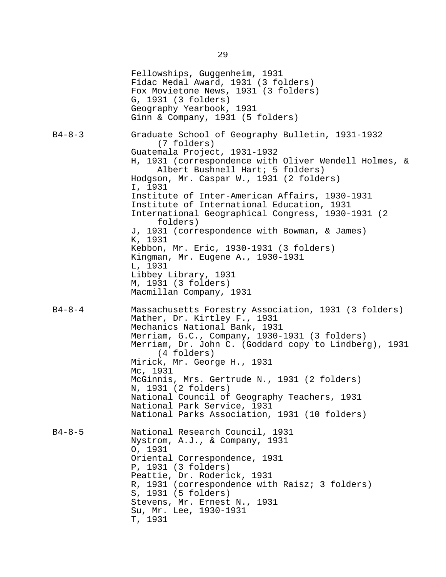|              | Fellowships, Guggenheim, 1931<br>Fidac Medal Award, 1931 (3 folders)<br>Fox Movietone News, 1931 (3 folders)<br>G, 1931 (3 folders)<br>Geography Yearbook, 1931<br>Ginn & Company, 1931 (5 folders)                                                                                                                                                                                                                                                                                                                                                                                                                        |
|--------------|----------------------------------------------------------------------------------------------------------------------------------------------------------------------------------------------------------------------------------------------------------------------------------------------------------------------------------------------------------------------------------------------------------------------------------------------------------------------------------------------------------------------------------------------------------------------------------------------------------------------------|
| $B4 - 8 - 3$ | Graduate School of Geography Bulletin, 1931-1932<br>(7 folders)<br>Guatemala Project, 1931-1932<br>H, 1931 (correspondence with Oliver Wendell Holmes, &<br>Albert Bushnell Hart; 5 folders)<br>Hodgson, Mr. Caspar W., 1931 (2 folders)<br>I, 1931<br>Institute of Inter-American Affairs, 1930-1931<br>Institute of International Education, 1931<br>International Geographical Congress, 1930-1931 (2<br>folders)<br>J, 1931 (correspondence with Bowman, & James)<br>K, 1931<br>Kebbon, Mr. Eric, 1930-1931 (3 folders)<br>Kingman, Mr. Eugene A., 1930-1931<br>L, 1931<br>Libbey Library, 1931<br>M, 1931 (3 folders) |
| $B4 - 8 - 4$ | Macmillan Company, 1931<br>Massachusetts Forestry Association, 1931 (3 folders)<br>Mather, Dr. Kirtley F., 1931<br>Mechanics National Bank, 1931<br>Merriam, G.C., Company, 1930-1931 (3 folders)<br>Merriam, Dr. John C. (Goddard copy to Lindberg), 1931<br>(4 folders)<br>Mirick, Mr. George H., 1931<br>Mc, 1931<br>McGinnis, Mrs. Gertrude N., 1931 (2 folders)<br>N, 1931 (2 folders)<br>National Council of Geography Teachers, 1931<br>National Park Service, 1931<br>National Parks Association, 1931 (10 folders)                                                                                                |
| $B4 - 8 - 5$ | National Research Council, 1931<br>Nystrom, A.J., & Company, 1931<br>0, 1931<br>Oriental Correspondence, 1931<br>P, 1931 (3 folders)<br>Peattie, Dr. Roderick, 1931<br>R, 1931 (correspondence with Raisz; 3 folders)<br>S, 1931 (5 folders)<br>Stevens, Mr. Ernest N., 1931<br>Su, Mr. Lee, 1930-1931<br>T, 1931                                                                                                                                                                                                                                                                                                          |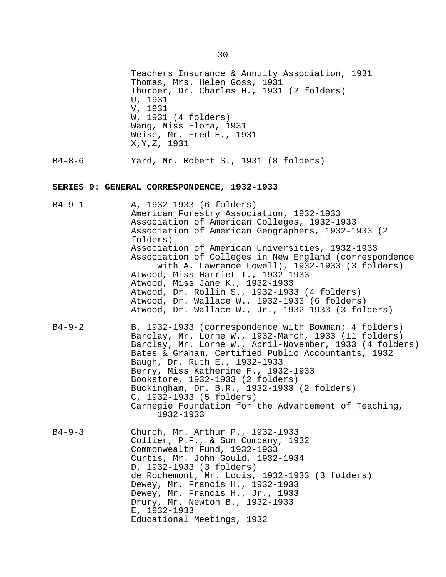Teachers Insurance & Annuity Association, 1931 Thomas, Mrs. Helen Goss, 1931 Thurber, Dr. Charles H., 1931 (2 folders) U, 1931 V, 1931 W, 1931 (4 folders) Wang, Miss Flora, 1931 Weise, Mr. Fred E., 1931 X,Y,Z, 1931

B4-8-6 Yard, Mr. Robert S., 1931 (8 folders)

#### **SERIES 9: GENERAL CORRESPONDENCE, 1932-1933**

- B4-9-1 A, 1932-1933 (6 folders) American Forestry Association, 1932-1933 Association of American Colleges, 1932-1933 Association of American Geographers, 1932-1933 (2 folders) Association of American Universities, 1932-1933 Association of Colleges in New England (correspondence with A. Lawrence Lowell), 1932-1933 (3 folders) Atwood, Miss Harriet T., 1932-1933 Atwood, Miss Jane K., 1932-1933 Atwood, Dr. Rollin S., 1932-1933 (4 folders) Atwood, Dr. Wallace W., 1932-1933 (6 folders) Atwood, Dr. Wallace W., Jr., 1932-1933 (3 folders)
- B4-9-2 B, 1932-1933 (correspondence with Bowman; 4 folders) Barclay, Mr. Lorne W., 1932-March, 1933 (11 folders) Barclay, Mr. Lorne W., April-November, 1933 (4 folders) Bates & Graham, Certified Public Accountants, 1932 Baugh, Dr. Ruth E., 1932-1933 Berry, Miss Katherine F., 1932-1933 Bookstore, 1932-1933 (2 folders) Buckingham, Dr. B.R., 1932-1933 (2 folders) C, 1932-1933 (5 folders) Carnegie Foundation for the Advancement of Teaching, 1932-1933
- B4-9-3 Church, Mr. Arthur P., 1932-1933 Collier, P.F., & Son Company, 1932 Commonwealth Fund, 1932-1933 Curtis, Mr. John Gould, 1932-1934 D, 1932-1933 (3 folders) de Rochemont, Mr. Louis, 1932-1933 (3 folders) Dewey, Mr. Francis H., 1932-1933 Dewey, Mr. Francis H., Jr., 1933 Drury, Mr. Newton B., 1932-1933 E, 1932-1933 Educational Meetings, 1932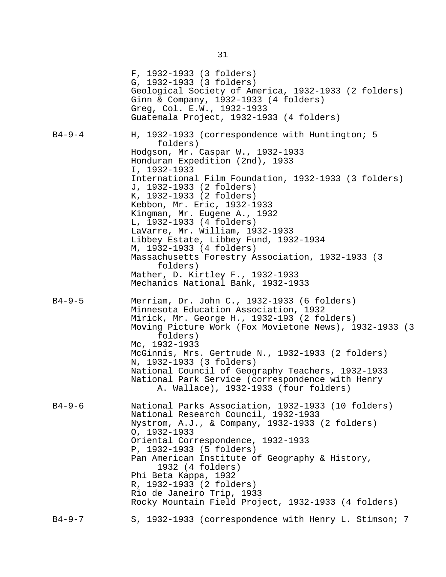|              | F, 1932-1933 (3 folders)<br>G, 1932-1933 (3 folders)<br>Geological Society of America, 1932-1933 (2 folders)<br>Ginn & Company, 1932-1933 (4 folders)<br>Greg, Col. E.W., 1932-1933<br>Guatemala Project, 1932-1933 (4 folders)                                                                                                                                                                                                                                                                                                        |
|--------------|----------------------------------------------------------------------------------------------------------------------------------------------------------------------------------------------------------------------------------------------------------------------------------------------------------------------------------------------------------------------------------------------------------------------------------------------------------------------------------------------------------------------------------------|
| $B4 - 9 - 4$ | H, 1932-1933 (correspondence with Huntington; 5<br>folders)<br>Hodgson, Mr. Caspar W., 1932-1933<br>Honduran Expedition (2nd), 1933<br>I, 1932-1933<br>International Film Foundation, 1932-1933 (3 folders)<br>J, 1932-1933 (2 folders)<br>K, 1932-1933 (2 folders)<br>Kebbon, Mr. Eric, 1932-1933<br>Kingman, Mr. Eugene A., 1932<br>L, 1932-1933 (4 folders)<br>LaVarre, Mr. William, 1932-1933<br>Libbey Estate, Libbey Fund, 1932-1934<br>M, 1932-1933 (4 folders)<br>Massachusetts Forestry Association, 1932-1933 (3<br>folders) |
|              | Mather, D. Kirtley F., 1932-1933<br>Mechanics National Bank, 1932-1933                                                                                                                                                                                                                                                                                                                                                                                                                                                                 |
| $B4 - 9 - 5$ | Merriam, Dr. John C., 1932-1933 (6 folders)<br>Minnesota Education Association, 1932<br>Mirick, Mr. George H., 1932-193 (2 folders)<br>Moving Picture Work (Fox Movietone News), 1932-1933 (3<br>folders)<br>Mc, 1932-1933<br>McGinnis, Mrs. Gertrude N., 1932-1933 (2 folders)<br>N, 1932-1933 (3 folders)<br>National Council of Geography Teachers, 1932-1933<br>National Park Service (correspondence with Henry<br>A. Wallace), 1932-1933 (four folders)                                                                          |
| $B4 - 9 - 6$ | National Parks Association, 1932-1933 (10 folders)<br>National Research Council, 1932-1933<br>Nystrom, A.J., & Company, 1932-1933 (2 folders)<br>$0, 1932 - 1933$<br>Oriental Correspondence, 1932-1933<br>P, 1932-1933 (5 folders)<br>Pan American Institute of Geography & History,<br>1932 (4 folders)<br>Phi Beta Kappa, 1932<br>R, 1932-1933 (2 folders)<br>Rio de Janeiro Trip, 1933<br>Rocky Mountain Field Project, 1932-1933 (4 folders)                                                                                      |
| $B4 - 9 - 7$ | S, 1932-1933 (correspondence with Henry L. Stimson; 7                                                                                                                                                                                                                                                                                                                                                                                                                                                                                  |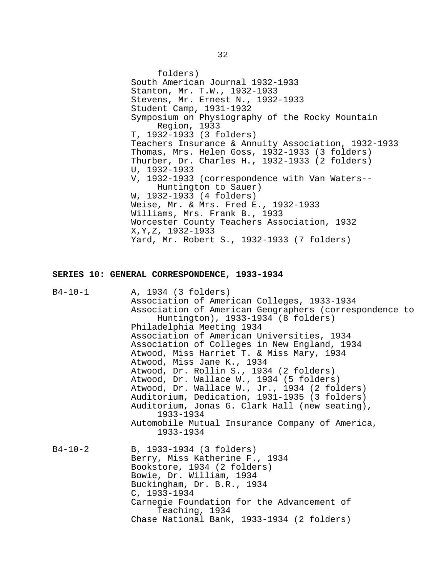folders) South American Journal 1932-1933 Stanton, Mr. T.W., 1932-1933 Stevens, Mr. Ernest N., 1932-1933 Student Camp, 1931-1932 Symposium on Physiography of the Rocky Mountain Region, 1933 T, 1932-1933 (3 folders) Teachers Insurance & Annuity Association, 1932-1933 Thomas, Mrs. Helen Goss, 1932-1933 (3 folders) Thurber, Dr. Charles H., 1932-1933 (2 folders) U, 1932-1933 V, 1932-1933 (correspondence with Van Waters-- Huntington to Sauer) W, 1932-1933 (4 folders) Weise, Mr. & Mrs. Fred E., 1932-1933 Williams, Mrs. Frank B., 1933 Worcester County Teachers Association, 1932 X,Y,Z, 1932-1933 Yard, Mr. Robert S., 1932-1933 (7 folders)

#### **SERIES 10: GENERAL CORRESPONDENCE, 1933-1934**

| $B4 - 10 - 1$ | A, 1934 (3 folders)                                                                          |
|---------------|----------------------------------------------------------------------------------------------|
|               | Association of American Colleges, 1933-1934                                                  |
|               | Association of American Geographers (correspondence to<br>Huntington), 1933-1934 (8 folders) |
|               | Philadelphia Meeting 1934                                                                    |
|               | Association of American Universities, 1934                                                   |
|               | Association of Colleges in New England, 1934                                                 |
|               | Atwood, Miss Harriet T. & Miss Mary, 1934                                                    |
|               | Atwood, Miss Jane K., 1934                                                                   |
|               | Atwood, Dr. Rollin S., 1934 (2 folders)                                                      |
|               | Atwood, Dr. Wallace W., 1934 (5 folders)                                                     |
|               | Atwood, Dr. Wallace W., Jr., 1934 (2 folders)                                                |
|               | Auditorium, Dedication, 1931-1935 (3 folders)                                                |
|               | Auditorium, Jonas G. Clark Hall (new seating),<br>1933-1934                                  |
|               | Automobile Mutual Insurance Company of America,<br>1933-1934                                 |
| $B4 - 10 - 2$ | B, 1933-1934 (3 folders)                                                                     |
|               | Berry, Miss Katherine F., 1934                                                               |
|               | Bookstore, 1934 (2 folders)                                                                  |
|               | Bowie, Dr. William, 1934                                                                     |
|               | Buckingham, Dr. B.R., 1934                                                                   |
|               | $C, 1933 - 1934$                                                                             |
|               | Carnegie Foundation for the Advancement of                                                   |
|               | Teaching, 1934                                                                               |
|               | Chase National Bank, 1933-1934 (2 folders)                                                   |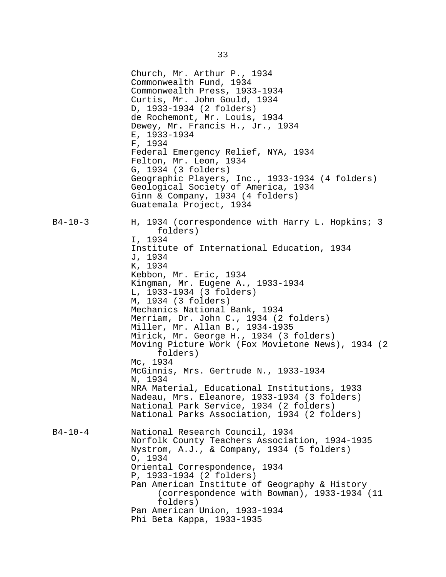Church, Mr. Arthur P., 1934 Commonwealth Fund, 1934 Commonwealth Press, 1933-1934 Curtis, Mr. John Gould, 1934 D, 1933-1934 (2 folders) de Rochemont, Mr. Louis, 1934 Dewey, Mr. Francis H., Jr., 1934 E, 1933-1934 F, 1934 Federal Emergency Relief, NYA, 1934 Felton, Mr. Leon, 1934 G, 1934 (3 folders) Geographic Players, Inc., 1933-1934 (4 folders) Geological Society of America, 1934 Ginn & Company, 1934 (4 folders) Guatemala Project, 1934 B4-10-3 H, 1934 (correspondence with Harry L. Hopkins; 3 folders) I, 1934 Institute of International Education, 1934 J, 1934 K, 1934 Kebbon, Mr. Eric, 1934 Kingman, Mr. Eugene A., 1933-1934 L, 1933-1934 (3 folders) M, 1934 (3 folders) Mechanics National Bank, 1934 Merriam, Dr. John C., 1934 (2 folders) Miller, Mr. Allan B., 1934-1935 Mirick, Mr. George H., 1934 (3 folders) Moving Picture Work (Fox Movietone News), 1934 (2 folders) Mc, 1934 McGinnis, Mrs. Gertrude N., 1933-1934 N, 1934 NRA Material, Educational Institutions, 1933 Nadeau, Mrs. Eleanore, 1933-1934 (3 folders) National Park Service, 1934 (2 folders) National Parks Association, 1934 (2 folders) B4-10-4 National Research Council, 1934 Norfolk County Teachers Association, 1934-1935 Nystrom, A.J., & Company, 1934 (5 folders) O, 1934 Oriental Correspondence, 1934 P, 1933-1934 (2 folders) Pan American Institute of Geography & History (correspondence with Bowman), 1933-1934 (11 folders) Pan American Union, 1933-1934 Phi Beta Kappa, 1933-1935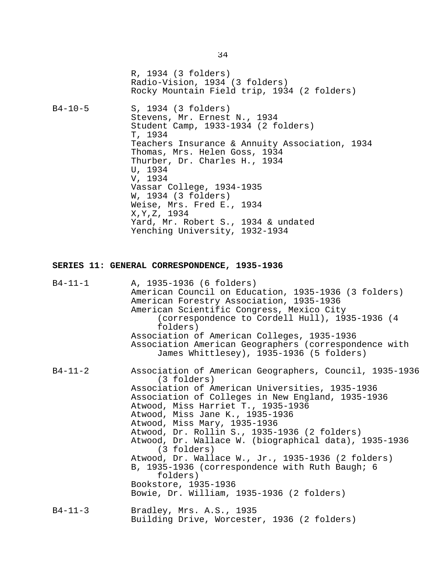R, 1934 (3 folders) Radio-Vision, 1934 (3 folders) Rocky Mountain Field trip, 1934 (2 folders)

B4-10-5 S, 1934 (3 folders) Stevens, Mr. Ernest N., 1934 Student Camp, 1933-1934 (2 folders) T, 1934 Teachers Insurance & Annuity Association, 1934 Thomas, Mrs. Helen Goss, 1934 Thurber, Dr. Charles H., 1934 U, 1934 V, 1934 Vassar College, 1934-1935 W, 1934 (3 folders) Weise, Mrs. Fred E., 1934 X,Y,Z, 1934 Yard, Mr. Robert S., 1934 & undated Yenching University, 1932-1934

#### **SERIES 11: GENERAL CORRESPONDENCE, 1935-1936**

| B4-11-1       | A, 1935-1936 (6 folders)<br>American Council on Education, 1935-1936 (3 folders)<br>American Forestry Association, 1935-1936<br>American Scientific Congress, Mexico City<br>(correspondence to Cordell Hull), 1935-1936 (4<br>folders)<br>Association of American Colleges, 1935-1936<br>Association American Geographers (correspondence with<br>James Whittlesey), 1935-1936 (5 folders)                                                                                                                                                                                                               |
|---------------|-----------------------------------------------------------------------------------------------------------------------------------------------------------------------------------------------------------------------------------------------------------------------------------------------------------------------------------------------------------------------------------------------------------------------------------------------------------------------------------------------------------------------------------------------------------------------------------------------------------|
| $B4 - 11 - 2$ | Association of American Geographers, Council, 1935-1936<br>(3 folders)<br>Association of American Universities, 1935-1936<br>Association of Colleges in New England, 1935-1936<br>Atwood, Miss Harriet T., 1935-1936<br>Atwood, Miss Jane K., 1935-1936<br>Atwood, Miss Mary, 1935-1936<br>Atwood, Dr. Rollin S., 1935-1936 (2 folders)<br>Atwood, Dr. Wallace W. (biographical data), 1935-1936<br>(3 folders)<br>Atwood, Dr. Wallace W., Jr., 1935-1936 (2 folders)<br>B, 1935-1936 (correspondence with Ruth Baugh; 6<br>folders)<br>Bookstore, 1935-1936<br>Bowie, Dr. William, 1935-1936 (2 folders) |
| $B4 - 11 - 3$ | Bradley, Mrs. A.S., 1935<br>Building Drive, Worcester, 1936 (2 folders)                                                                                                                                                                                                                                                                                                                                                                                                                                                                                                                                   |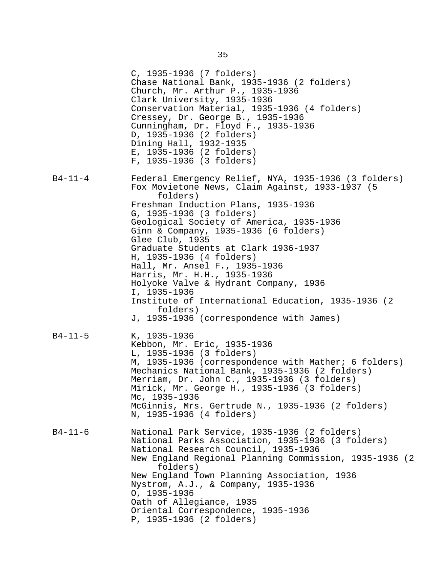|         | C, 1935-1936 (7 folders)<br>Chase National Bank, 1935-1936 (2 folders)<br>Church, Mr. Arthur P., 1935-1936<br>Clark University, 1935-1936<br>Conservation Material, 1935-1936 (4 folders)<br>Cressey, Dr. George B., 1935-1936<br>Cunningham, Dr. Floyd F., 1935-1936<br>D, 1935-1936 (2 folders)<br>Dining Hall, 1932-1935<br>E, 1935-1936 (2 folders)<br>F, 1935-1936 (3 folders)                                                                                                                                                                                                                        |
|---------|------------------------------------------------------------------------------------------------------------------------------------------------------------------------------------------------------------------------------------------------------------------------------------------------------------------------------------------------------------------------------------------------------------------------------------------------------------------------------------------------------------------------------------------------------------------------------------------------------------|
| B4-11-4 | Federal Emergency Relief, NYA, 1935-1936 (3 folders)<br>Fox Movietone News, Claim Against, 1933-1937 (5<br>folders)<br>Freshman Induction Plans, 1935-1936<br>G, 1935-1936 (3 folders)<br>Geological Society of America, 1935-1936<br>Ginn & Company, 1935-1936 (6 folders)<br>Glee Club, 1935<br>Graduate Students at Clark 1936-1937<br>H, 1935-1936 (4 folders)<br>Hall, Mr. Ansel F., 1935-1936<br>Harris, Mr. H.H., 1935-1936<br>Holyoke Valve & Hydrant Company, 1936<br>I, 1935-1936<br>Institute of International Education, 1935-1936 (2)<br>folders)<br>J, 1935-1936 (correspondence with James) |
| B4-11-5 | K, 1935-1936<br>Kebbon, Mr. Eric, 1935-1936<br>L, 1935-1936 (3 folders)<br>M, 1935-1936 (correspondence with Mather; 6 folders)<br>Mechanics National Bank, 1935-1936 (2 folders)<br>Merriam, Dr. John C., 1935-1936 (3 folders)<br>Mirick, Mr. George H., 1935-1936 (3 folders)<br>Mc, 1935-1936<br>McGinnis, Mrs. Gertrude N., 1935-1936 (2 folders)<br>N, 1935-1936 (4 folders)                                                                                                                                                                                                                         |
| B4-11-6 | National Park Service, 1935-1936 (2 folders)<br>National Parks Association, 1935-1936 (3 folders)<br>National Research Council, 1935-1936<br>New England Regional Planning Commission, 1935-1936 (2<br>folders)<br>New England Town Planning Association, 1936<br>Nystrom, A.J., & Company, 1935-1936<br>$0, 1935 - 1936$<br>Oath of Allegiance, 1935<br>Oriental Correspondence, 1935-1936<br>P, 1935-1936 (2 folders)                                                                                                                                                                                    |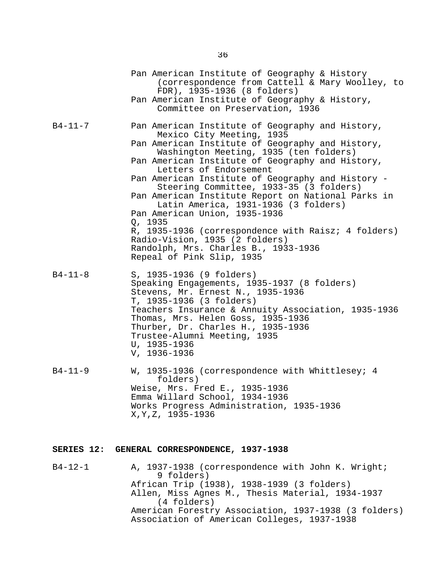|               | Pan American Institute of Geography & History<br>(correspondence from Cattell & Mary Woolley, to<br>FDR), 1935-1936 (8 folders)<br>Pan American Institute of Geography & History,<br>Committee on Preservation, 1936                                                                                                                                                                                                                                                                                                                                                                                                                                              |
|---------------|-------------------------------------------------------------------------------------------------------------------------------------------------------------------------------------------------------------------------------------------------------------------------------------------------------------------------------------------------------------------------------------------------------------------------------------------------------------------------------------------------------------------------------------------------------------------------------------------------------------------------------------------------------------------|
| $B4 - 11 - 7$ | Pan American Institute of Geography and History,<br>Mexico City Meeting, 1935<br>Pan American Institute of Geography and History,<br>Washington Meeting, 1935 (ten folders)<br>Pan American Institute of Geography and History,<br>Letters of Endorsement<br>Pan American Institute of Geography and History -<br>Steering Committee, 1933-35 (3 folders)<br>Pan American Institute Report on National Parks in<br>Latin America, 1931-1936 (3 folders)<br>Pan American Union, 1935-1936<br>Q, 1935<br>R, 1935-1936 (correspondence with Raisz; 4 folders)<br>Radio-Vision, 1935 (2 folders)<br>Randolph, Mrs. Charles B., 1933-1936<br>Repeal of Pink Slip, 1935 |
| $B4 - 11 - 8$ | S, 1935-1936 (9 folders)<br>Speaking Engagements, 1935-1937 (8 folders)<br>Stevens, Mr. Ernest N., 1935-1936<br>T, 1935-1936 (3 folders)<br>Teachers Insurance & Annuity Association, 1935-1936<br>Thomas, Mrs. Helen Goss, 1935-1936<br>Thurber, Dr. Charles H., 1935-1936<br>Trustee-Alumni Meeting, 1935<br>U, 1935-1936<br>V, 1936-1936                                                                                                                                                                                                                                                                                                                       |
| $B4 - 11 - 9$ | W, 1935-1936 (correspondence with Whittlesey; 4<br>folders)<br>Weise, Mrs. Fred E., 1935-1936<br>Emma Willard School, 1934-1936<br>Works Progress Administration, 1935-1936<br>X, Y, Z, 1935-1936                                                                                                                                                                                                                                                                                                                                                                                                                                                                 |

## **SERIES 12: GENERAL CORRESPONDENCE, 1937-1938**

B4-12-1 A, 1937-1938 (correspondence with John K. Wright; 9 folders) African Trip (1938), 1938-1939 (3 folders) Allen, Miss Agnes M., Thesis Material, 1934-1937 (4 folders) American Forestry Association, 1937-1938 (3 folders) Association of American Colleges, 1937-1938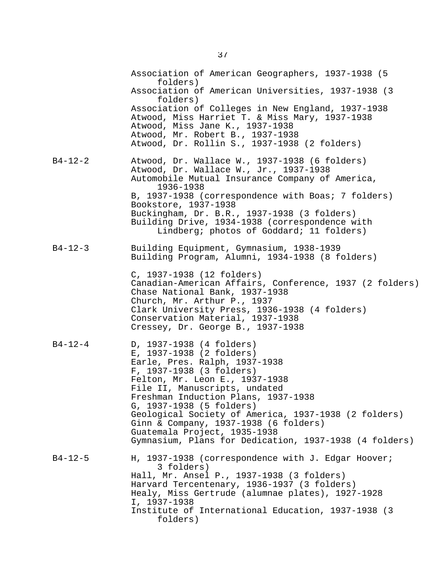|               | Association of American Geographers, 1937-1938 (5<br>folders)                                                                                                                                                                                                                                                                                                                                                                                      |
|---------------|----------------------------------------------------------------------------------------------------------------------------------------------------------------------------------------------------------------------------------------------------------------------------------------------------------------------------------------------------------------------------------------------------------------------------------------------------|
|               | Association of American Universities, 1937-1938 (3)<br>folders)                                                                                                                                                                                                                                                                                                                                                                                    |
|               | Association of Colleges in New England, 1937-1938<br>Atwood, Miss Harriet T. & Miss Mary, 1937-1938<br>Atwood, Miss Jane K., 1937-1938<br>Atwood, Mr. Robert B., 1937-1938<br>Atwood, Dr. Rollin S., 1937-1938 (2 folders)                                                                                                                                                                                                                         |
| B4-12-2       | Atwood, Dr. Wallace W., 1937-1938 (6 folders)<br>Atwood, Dr. Wallace W., Jr., 1937-1938<br>Automobile Mutual Insurance Company of America,<br>1936-1938<br>B, 1937-1938 (correspondence with Boas; 7 folders)<br>Bookstore, 1937-1938<br>Buckingham, Dr. B.R., 1937-1938 (3 folders)<br>Building Drive, 1934-1938 (correspondence with<br>Lindberg; photos of Goddard; 11 folders)                                                                 |
| $B4 - 12 - 3$ | Building Equipment, Gymnasium, 1938-1939<br>Building Program, Alumni, 1934-1938 (8 folders)                                                                                                                                                                                                                                                                                                                                                        |
|               | C, 1937-1938 (12 folders)<br>Canadian-American Affairs, Conference, 1937 (2 folders)<br>Chase National Bank, 1937-1938<br>Church, Mr. Arthur P., 1937<br>Clark University Press, 1936-1938 (4 folders)<br>Conservation Material, 1937-1938<br>Cressey, Dr. George B., 1937-1938                                                                                                                                                                    |
| $B4 - 12 - 4$ | D, 1937-1938 (4 folders)<br>E, 1937-1938 (2 folders)<br>Earle, Pres. Ralph, 1937-1938<br>F, 1937-1938 (3 folders)<br>Felton, Mr. Leon E., 1937-1938<br>File II, Manuscripts, undated<br>Freshman Induction Plans, 1937-1938<br>G, 1937-1938 (5 folders)<br>Geological Society of America, 1937-1938 (2 folders)<br>Ginn & Company, 1937-1938 (6 folders)<br>Guatemala Project, 1935-1938<br>Gymnasium, Plans for Dedication, 1937-1938 (4 folders) |
| B4-12-5       | H, 1937-1938 (correspondence with J. Edgar Hoover;<br>3 folders)<br>Hall, Mr. Ansel P., 1937-1938 (3 folders)<br>Harvard Tercentenary, 1936-1937 (3 folders)<br>Healy, Miss Gertrude (alumnae plates), 1927-1928<br>I, 1937-1938<br>Institute of International Education, 1937-1938 (3)<br>folders)                                                                                                                                                |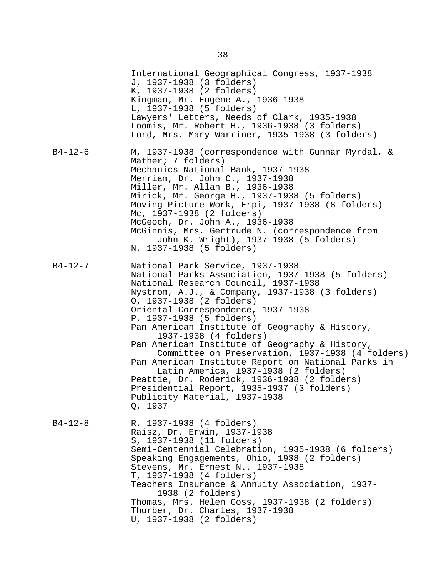|               | International Geographical Congress, 1937-1938<br>J, 1937-1938 (3 folders)<br>K, 1937-1938 (2 folders)<br>Kingman, Mr. Eugene A., 1936-1938<br>L, 1937-1938 (5 folders)<br>Lawyers' Letters, Needs of Clark, 1935-1938<br>Loomis, Mr. Robert H., 1936-1938 (3 folders)<br>Lord, Mrs. Mary Warriner, 1935-1938 (3 folders)                                                                                                                                                                                                                                                                                                                                                                               |
|---------------|---------------------------------------------------------------------------------------------------------------------------------------------------------------------------------------------------------------------------------------------------------------------------------------------------------------------------------------------------------------------------------------------------------------------------------------------------------------------------------------------------------------------------------------------------------------------------------------------------------------------------------------------------------------------------------------------------------|
| $B4 - 12 - 6$ | M, 1937-1938 (correspondence with Gunnar Myrdal, &<br>Mather; 7 folders)<br>Mechanics National Bank, 1937-1938<br>Merriam, Dr. John C., 1937-1938<br>Miller, Mr. Allan B., 1936-1938<br>Mirick, Mr. George H., 1937-1938 (5 folders)<br>Moving Picture Work, Erpi, 1937-1938 (8 folders)<br>Mc, 1937-1938 (2 folders)<br>McGeoch, Dr. John A., 1936-1938<br>McGinnis, Mrs. Gertrude N. (correspondence from<br>John K. Wright), 1937-1938 (5 folders)<br>N, 1937-1938 (5 folders)                                                                                                                                                                                                                       |
| $B4 - 12 - 7$ | National Park Service, 1937-1938<br>National Parks Association, 1937-1938 (5 folders)<br>National Research Council, 1937-1938<br>Nystrom, A.J., & Company, 1937-1938 (3 folders)<br>0, 1937-1938 (2 folders)<br>Oriental Correspondence, 1937-1938<br>P, 1937-1938 (5 folders)<br>Pan American Institute of Geography & History,<br>1937-1938 (4 folders)<br>Pan American Institute of Geography & History,<br>Committee on Preservation, 1937-1938 (4 folders)<br>Pan American Institute Report on National Parks in<br>Latin America, 1937-1938 (2 folders)<br>Peattie, Dr. Roderick, 1936-1938 (2 folders)<br>Presidential Report, 1935-1937 (3 folders)<br>Publicity Material, 1937-1938<br>Q, 1937 |
| $B4 - 12 - 8$ | R, 1937-1938 (4 folders)<br>Raisz, Dr. Erwin, 1937-1938<br>S, 1937-1938 (11 folders)<br>Semi-Centennial Celebration, 1935-1938 (6 folders)<br>Speaking Engagements, Ohio, 1938 (2 folders)<br>Stevens, Mr. Ernest N., 1937-1938<br>T, 1937-1938 (4 folders)<br>Teachers Insurance & Annuity Association, 1937-<br>1938 (2 folders)<br>Thomas, Mrs. Helen Goss, 1937-1938 (2 folders)<br>Thurber, Dr. Charles, 1937-1938<br>U, 1937-1938 (2 folders)                                                                                                                                                                                                                                                     |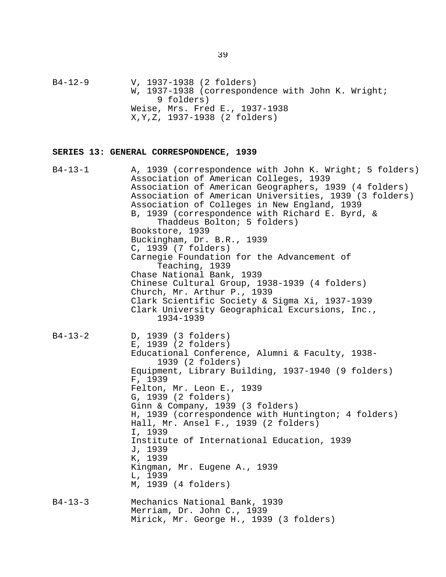B4-12-9 V, 1937-1938 (2 folders) W, 1937-1938 (correspondence with John K. Wright; 9 folders) Weise, Mrs. Fred E., 1937-1938 X,Y,Z, 1937-1938 (2 folders)

#### **SERIES 13: GENERAL CORRESPONDENCE, 1939**

B4-13-1 A, 1939 (correspondence with John K. Wright; 5 folders) Association of American Colleges, 1939 Association of American Geographers, 1939 (4 folders) Association of American Universities, 1939 (3 folders) Association of Colleges in New England, 1939 B, 1939 (correspondence with Richard E. Byrd, & Thaddeus Bolton; 5 folders) Bookstore, 1939 Buckingham, Dr. B.R., 1939 C, 1939 (7 folders) Carnegie Foundation for the Advancement of Teaching, 1939 Chase National Bank, 1939 Chinese Cultural Group, 1938-1939 (4 folders) Church, Mr. Arthur P., 1939 Clark Scientific Society & Sigma Xi, 1937-1939 Clark University Geographical Excursions, Inc., 1934-1939 B4-13-2 D, 1939 (3 folders) E, 1939 (2 folders) Educational Conference, Alumni & Faculty, 1938- 1939 (2 folders) Equipment, Library Building, 1937-1940 (9 folders) F, 1939 Felton, Mr. Leon E., 1939 G, 1939 (2 folders) Ginn & Company, 1939 (3 folders) H, 1939 (correspondence with Huntington; 4 folders) Hall, Mr. Ansel F., 1939 (2 folders) I, 1939 Institute of International Education, 1939 J, 1939 K, 1939 Kingman, Mr. Eugene A., 1939 L, 1939 M, 1939 (4 folders) B4-13-3 Mechanics National Bank, 1939 Merriam, Dr. John C., 1939 Mirick, Mr. George H., 1939 (3 folders)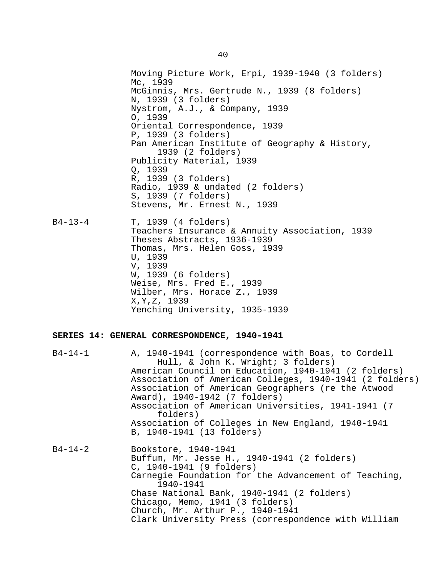Moving Picture Work, Erpi, 1939-1940 (3 folders) Mc, 1939 McGinnis, Mrs. Gertrude N., 1939 (8 folders) N, 1939 (3 folders) Nystrom, A.J., & Company, 1939 O, 1939 Oriental Correspondence, 1939 P, 1939 (3 folders) Pan American Institute of Geography & History, 1939 (2 folders) Publicity Material, 1939 Q, 1939 R, 1939 (3 folders) Radio, 1939 & undated (2 folders) S, 1939 (7 folders) Stevens, Mr. Ernest N., 1939 B4-13-4 T, 1939 (4 folders) Teachers Insurance & Annuity Association, 1939 Theses Abstracts, 1936-1939 Thomas, Mrs. Helen Goss, 1939 U, 1939 V, 1939 W, 1939 (6 folders) Weise, Mrs. Fred E., 1939 Wilber, Mrs. Horace Z., 1939 X,Y,Z, 1939 Yenching University, 1935-1939 **SERIES 14: GENERAL CORRESPONDENCE, 1940-1941** B4-14-1 A, 1940-1941 (correspondence with Boas, to Cordell Hull, & John K. Wright; 3 folders) American Council on Education, 1940-1941 (2 folders) Association of American Colleges, 1940-1941 (2 folders) Association of American Geographers (re the Atwood Award), 1940-1942 (7 folders) Association of American Universities, 1941-1941 (7 folders) Association of Colleges in New England, 1940-1941 B, 1940-1941 (13 folders)

B4-14-2 Bookstore, 1940-1941 Buffum, Mr. Jesse H., 1940-1941 (2 folders) C, 1940-1941 (9 folders) Carnegie Foundation for the Advancement of Teaching, 1940-1941 Chase National Bank, 1940-1941 (2 folders) Chicago, Memo, 1941 (3 folders) Church, Mr. Arthur P., 1940-1941 Clark University Press (correspondence with William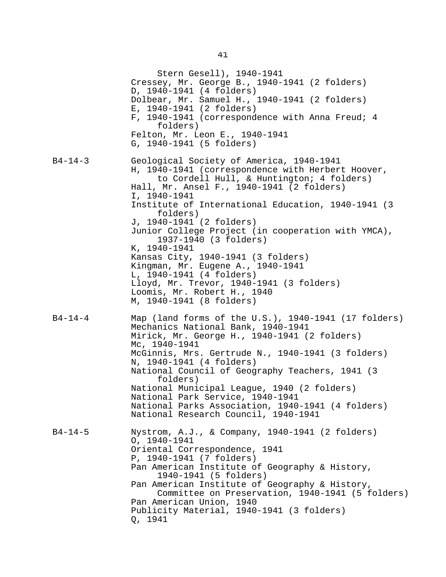Stern Gesell), 1940-1941 Cressey, Mr. George B., 1940-1941 (2 folders) D, 1940-1941 (4 folders) Dolbear, Mr. Samuel H., 1940-1941 (2 folders) E, 1940-1941 (2 folders) F, 1940-1941 (correspondence with Anna Freud; 4 folders) Felton, Mr. Leon E., 1940-1941 G, 1940-1941 (5 folders) B4-14-3 Geological Society of America, 1940-1941 H, 1940-1941 (correspondence with Herbert Hoover, to Cordell Hull, & Huntington; 4 folders) Hall, Mr. Ansel F., 1940-1941 (2 folders) I, 1940-1941 Institute of International Education, 1940-1941 (3 folders) J, 1940-1941 (2 folders) Junior College Project (in cooperation with YMCA), 1937-1940 (3 folders) K, 1940-1941 Kansas City, 1940-1941 (3 folders) Kingman, Mr. Eugene A., 1940-1941 L, 1940-1941 (4 folders) Lloyd, Mr. Trevor, 1940-1941 (3 folders) Loomis, Mr. Robert H., 1940 M, 1940-1941 (8 folders) B4-14-4 Map (land forms of the U.S.), 1940-1941 (17 folders) Mechanics National Bank, 1940-1941 Mirick, Mr. George H., 1940-1941 (2 folders) Mc, 1940-1941 McGinnis, Mrs. Gertrude N., 1940-1941 (3 folders) N, 1940-1941 (4 folders) National Council of Geography Teachers, 1941 (3 folders) National Municipal League, 1940 (2 folders) National Park Service, 1940-1941 National Parks Association, 1940-1941 (4 folders) National Research Council, 1940-1941 B4-14-5 Nystrom, A.J., & Company, 1940-1941 (2 folders) O, 1940-1941 Oriental Correspondence, 1941 P, 1940-1941 (7 folders) Pan American Institute of Geography & History, 1940-1941 (5 folders) Pan American Institute of Geography & History, Committee on Preservation, 1940-1941 (5 folders) Pan American Union, 1940 Publicity Material, 1940-1941 (3 folders) Q, 1941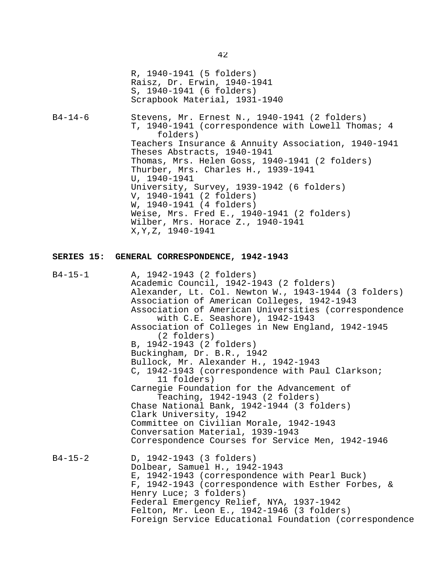|               | R, 1940-1941 (5 folders)<br>Raisz, Dr. Erwin, 1940-1941<br>S, 1940-1941 (6 folders)<br>Scrapbook Material, 1931-1940                                                                                                                                                                                                                                                                                                                                                                                                         |
|---------------|------------------------------------------------------------------------------------------------------------------------------------------------------------------------------------------------------------------------------------------------------------------------------------------------------------------------------------------------------------------------------------------------------------------------------------------------------------------------------------------------------------------------------|
| $B4 - 14 - 6$ | Stevens, Mr. Ernest N., 1940-1941 (2 folders)<br>T, 1940-1941 (correspondence with Lowell Thomas; 4<br>folders)<br>Teachers Insurance & Annuity Association, 1940-1941<br>Theses Abstracts, 1940-1941<br>Thomas, Mrs. Helen Goss, 1940-1941 (2 folders)<br>Thurber, Mrs. Charles H., 1939-1941<br>U, 1940-1941<br>University, Survey, 1939-1942 (6 folders)<br>V, 1940-1941 (2 folders)<br>W, 1940-1941 (4 folders)<br>Weise, Mrs. Fred E., 1940-1941 (2 folders)<br>Wilber, Mrs. Horace Z., 1940-1941<br>X, Y, Z, 1940-1941 |
|               | SERIES 15: GENERAL CORRESPONDENCE, 1942-1943                                                                                                                                                                                                                                                                                                                                                                                                                                                                                 |
| $B4 - 15 - 1$ | A, 1942-1943 (2 folders)<br>Academic Council, 1942-1943 (2 folders)<br>Alexander, Lt. Col. Newton W., 1943-1944 (3 folders)<br>Association of American Colleges, 1942-1943<br>Association of American Universities (correspondence<br>with C.E. Seashore), 1942-1943<br>Association of Colleges in New England, 1942-1945<br>(2 folders)<br>B, 1942-1943 (2 folders)<br>Buckingham, Dr. B.R., 1942<br>Bullock, Mr. Alexander H., 1942-1943<br>C, 1942-1943 (correspondence with Paul Clarkson;<br>11 folders)                |

Carnegie Foundation for the Advancement of Teaching, 1942-1943 (2 folders)

Chase National Bank, 1942-1944 (3 folders) Clark University, 1942 Committee on Civilian Morale, 1942-1943 Conversation Material, 1939-1943 Correspondence Courses for Service Men, 1942-1946

B4-15-2 D, 1942-1943 (3 folders) Dolbear, Samuel H., 1942-1943 E, 1942-1943 (correspondence with Pearl Buck) F, 1942-1943 (correspondence with Esther Forbes, & Henry Luce; 3 folders) Federal Emergency Relief, NYA, 1937-1942 Felton, Mr. Leon E., 1942-1946 (3 folders) Foreign Service Educational Foundation (correspondence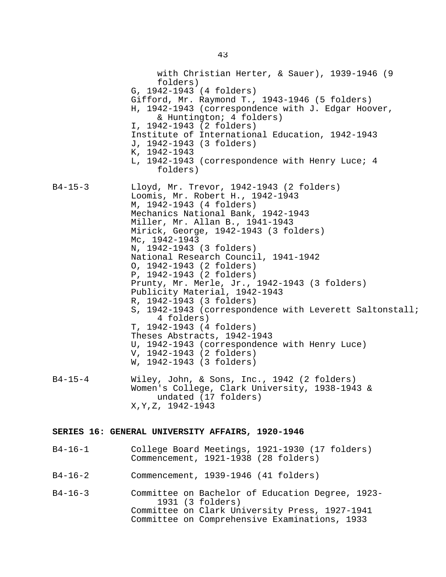with Christian Herter, & Sauer), 1939-1946 (9 folders) G, 1942-1943 (4 folders) Gifford, Mr. Raymond T., 1943-1946 (5 folders) H, 1942-1943 (correspondence with J. Edgar Hoover, & Huntington; 4 folders) I, 1942-1943 (2 folders) Institute of International Education, 1942-1943 J, 1942-1943 (3 folders) K, 1942-1943 L, 1942-1943 (correspondence with Henry Luce; 4 folders) B4-15-3 Lloyd, Mr. Trevor, 1942-1943 (2 folders) Loomis, Mr. Robert H., 1942-1943 M, 1942-1943 (4 folders) Mechanics National Bank, 1942-1943 Miller, Mr. Allan B., 1941-1943 Mirick, George, 1942-1943 (3 folders) Mc, 1942-1943 N, 1942-1943 (3 folders) National Research Council, 1941-1942 O, 1942-1943 (2 folders) P, 1942-1943 (2 folders) Prunty, Mr. Merle, Jr., 1942-1943 (3 folders) Publicity Material, 1942-1943 R, 1942-1943 (3 folders) S, 1942-1943 (correspondence with Leverett Saltonstall; 4 folders) T, 1942-1943 (4 folders) Theses Abstracts, 1942-1943 U, 1942-1943 (correspondence with Henry Luce) V, 1942-1943 (2 folders) W, 1942-1943 (3 folders) B4-15-4 Wiley, John, & Sons, Inc., 1942 (2 folders) Women's College, Clark University, 1938-1943 & undated (17 folders) X,Y,Z, 1942-1943

### **SERIES 16: GENERAL UNIVERSITY AFFAIRS, 1920-1946**

B4-16-1 College Board Meetings, 1921-1930 (17 folders) Commencement, 1921-1938 (28 folders) B4-16-2 Commencement, 1939-1946 (41 folders) B4-16-3 Committee on Bachelor of Education Degree, 1923- 1931 (3 folders) Committee on Clark University Press, 1927-1941

Committee on Comprehensive Examinations, 1933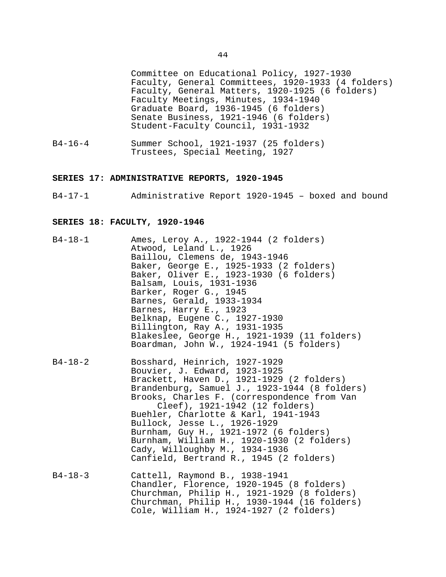Committee on Educational Policy, 1927-1930 Faculty, General Committees, 1920-1933 (4 folders) Faculty, General Matters, 1920-1925 (6 folders) Faculty Meetings, Minutes, 1934-1940 Graduate Board, 1936-1945 (6 folders) Senate Business, 1921-1946 (6 folders) Student-Faculty Council, 1931-1932

B4-16-4 Summer School, 1921-1937 (25 folders) Trustees, Special Meeting, 1927

#### **SERIES 17: ADMINISTRATIVE REPORTS, 1920-1945**

B4-17-1 Administrative Report 1920-1945 – boxed and bound

#### **SERIES 18: FACULTY, 1920-1946**

| B4-18-1       | Ames, Leroy A., 1922-1944 (2 folders)<br>Atwood, Leland L., 1926<br>Baillou, Clemens de, 1943-1946<br>Baker, George E., 1925-1933 (2 folders)<br>Baker, Oliver E., 1923-1930 (6 folders)<br>Balsam, Louis, 1931-1936<br>Barker, Roger G., 1945<br>Barnes, Gerald, 1933-1934<br>Barnes, Harry E., 1923<br>Belknap, Eugene C., 1927-1930<br>Billington, Ray A., 1931-1935<br>Blakeslee, George H., 1921-1939 (11 folders)<br>Boardman, John W., 1924-1941 (5 folders)                        |
|---------------|--------------------------------------------------------------------------------------------------------------------------------------------------------------------------------------------------------------------------------------------------------------------------------------------------------------------------------------------------------------------------------------------------------------------------------------------------------------------------------------------|
| $B4 - 18 - 2$ | Bosshard, Heinrich, 1927-1929<br>Bouvier, J. Edward, 1923-1925<br>Brackett, Haven D., 1921-1929 (2 folders)<br>Brandenburg, Samuel J., 1923-1944 (8 folders)<br>Brooks, Charles F. (correspondence from Van<br>Cleef), 1921-1942 (12 folders)<br>Buehler, Charlotte & Karl, 1941-1943<br>Bullock, Jesse L., 1926-1929<br>Burnham, Guy H., 1921-1972 (6 folders)<br>Burnham, William H., 1920-1930 (2 folders)<br>Cady, Willoughby M., 1934-1936<br>Canfield, Bertrand R., 1945 (2 folders) |
| $B4 - 18 - 3$ | Cattell, Raymond B., 1938-1941<br>Chandler, Florence, 1920-1945 (8 folders)<br>Churchman, Philip H., 1921-1929 (8 folders)<br>Churchman, Philip H., 1930-1944 (16 folders)                                                                                                                                                                                                                                                                                                                 |

Cole, William H., 1924-1927 (2 folders)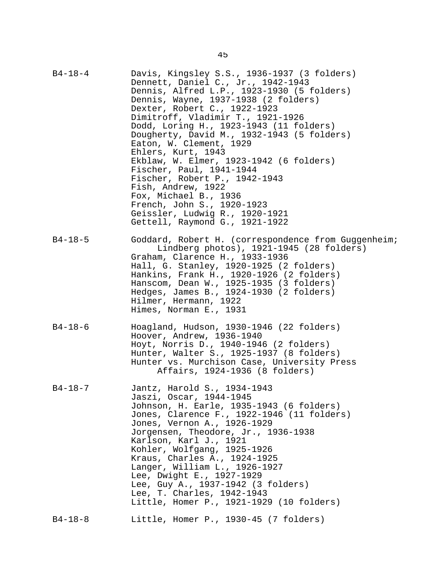| $B4 - 18 - 4$ | Davis, Kingsley S.S., 1936-1937 (3 folders)<br>Dennett, Daniel C., Jr., 1942-1943<br>Dennis, Alfred L.P., 1923-1930 (5 folders)<br>Dennis, Wayne, 1937-1938 (2 folders)<br>Dexter, Robert C., 1922-1923<br>Dimitroff, Vladimir T., 1921-1926<br>Dodd, Loring H., 1923-1943 (11 folders)<br>Dougherty, David M., 1932-1943 (5 folders)<br>Eaton, W. Clement, 1929<br>Ehlers, Kurt, 1943<br>Ekblaw, W. Elmer, 1923-1942 (6 folders)<br>Fischer, Paul, 1941-1944<br>Fischer, Robert P., 1942-1943<br>Fish, Andrew, 1922<br>Fox, Michael B., 1936<br>French, John S., 1920-1923<br>Geissler, Ludwig R., 1920-1921<br>Gettell, Raymond G., 1921-1922 |
|---------------|-------------------------------------------------------------------------------------------------------------------------------------------------------------------------------------------------------------------------------------------------------------------------------------------------------------------------------------------------------------------------------------------------------------------------------------------------------------------------------------------------------------------------------------------------------------------------------------------------------------------------------------------------|
| $B4 - 18 - 5$ | Goddard, Robert H. (correspondence from Guggenheim;<br>Lindberg photos), 1921-1945 (28 folders)<br>Graham, Clarence H., 1933-1936<br>Hall, G. Stanley, 1920-1925 (2 folders)<br>Hankins, Frank H., 1920-1926 (2 folders)<br>Hanscom, Dean W., 1925-1935 (3 folders)<br>Hedges, James B., 1924-1930 (2 folders)<br>Hilmer, Hermann, 1922<br>Himes, Norman E., 1931                                                                                                                                                                                                                                                                               |
| $B4 - 18 - 6$ | Hoagland, Hudson, 1930-1946 (22 folders)<br>Hoover, Andrew, 1936-1940<br>Hoyt, Norris D., 1940-1946 (2 folders)<br>Hunter, Walter S., 1925-1937 (8 folders)<br>Hunter vs. Murchison Case, University Press<br>Affairs, 1924-1936 (8 folders)                                                                                                                                                                                                                                                                                                                                                                                                    |
| $B4 - 18 - 7$ | Jantz, Harold S., 1934-1943<br>Jaszi, Oscar, 1944-1945<br>Johnson, H. Earle, 1935-1943 (6 folders)<br>Jones, Clarence F., 1922-1946 (11 folders)<br>Jones, Vernon A., 1926-1929<br>Jorgensen, Theodore, Jr., 1936-1938<br>Karlson, Karl J., 1921<br>Kohler, Wolfgang, 1925-1926<br>Kraus, Charles A., 1924-1925<br>Langer, William L., 1926-1927<br>Lee, Dwight E., 1927-1929<br>Lee, Guy A., 1937-1942 (3 folders)<br>Lee, T. Charles, 1942-1943<br>Little, Homer P., 1921-1929 (10 folders)                                                                                                                                                   |
| $B4 - 18 - 8$ | Little, Homer P., 1930-45 (7 folders)                                                                                                                                                                                                                                                                                                                                                                                                                                                                                                                                                                                                           |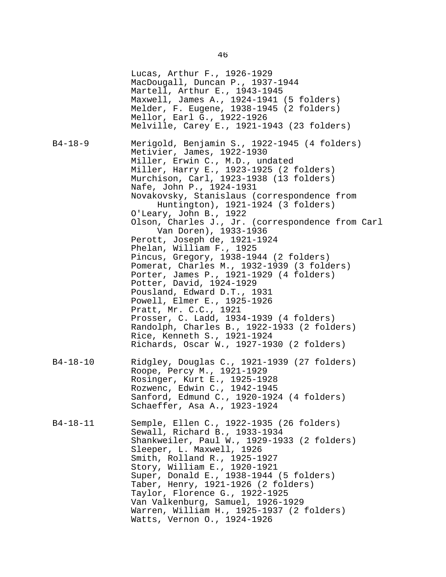Lucas, Arthur F., 1926-1929 MacDougall, Duncan P., 1937-1944 Martell, Arthur E., 1943-1945 Maxwell, James A., 1924-1941 (5 folders) Melder, F. Eugene, 1938-1945 (2 folders) Mellor, Earl G., 1922-1926 Melville, Carey E., 1921-1943 (23 folders) B4-18-9 Merigold, Benjamin S., 1922-1945 (4 folders) Metivier, James, 1922-1930 Miller, Erwin C., M.D., undated Miller, Harry E., 1923-1925 (2 folders) Murchison, Carl, 1923-1938 (13 folders) Nafe, John P., 1924-1931 Novakovsky, Stanislaus (correspondence from Huntington), 1921-1924 (3 folders) O'Leary, John B., 1922 Olson, Charles J., Jr. (correspondence from Carl Van Doren), 1933-1936 Perott, Joseph de, 1921-1924 Phelan, William F., 1925 Pincus, Gregory, 1938-1944 (2 folders) Pomerat, Charles M., 1932-1939 (3 folders) Porter, James P., 1921-1929 (4 folders) Potter, David, 1924-1929 Pousland, Edward D.T., 1931 Powell, Elmer E., 1925-1926 Pratt, Mr. C.C., 1921 Prosser, C. Ladd, 1934-1939 (4 folders) Randolph, Charles B., 1922-1933 (2 folders) Rice, Kenneth S., 1921-1924 Richards, Oscar W., 1927-1930 (2 folders) B4-18-10 Ridgley, Douglas C., 1921-1939 (27 folders) Roope, Percy M., 1921-1929 Rosinger, Kurt E., 1925-1928 Rozwenc, Edwin C., 1942-1945 Sanford, Edmund C., 1920-1924 (4 folders) Schaeffer, Asa A., 1923-1924 B4-18-11 Semple, Ellen C., 1922-1935 (26 folders) Sewall, Richard B., 1933-1934 Shankweiler, Paul W., 1929-1933 (2 folders) Sleeper, L. Maxwell, 1926 Smith, Rolland R., 1925-1927 Story, William E., 1920-1921 Super, Donald E., 1938-1944 (5 folders) Taber, Henry, 1921-1926 (2 folders) Taylor, Florence G., 1922-1925 Van Valkenburg, Samuel, 1926-1929 Warren, William H., 1925-1937 (2 folders) Watts, Vernon O., 1924-1926